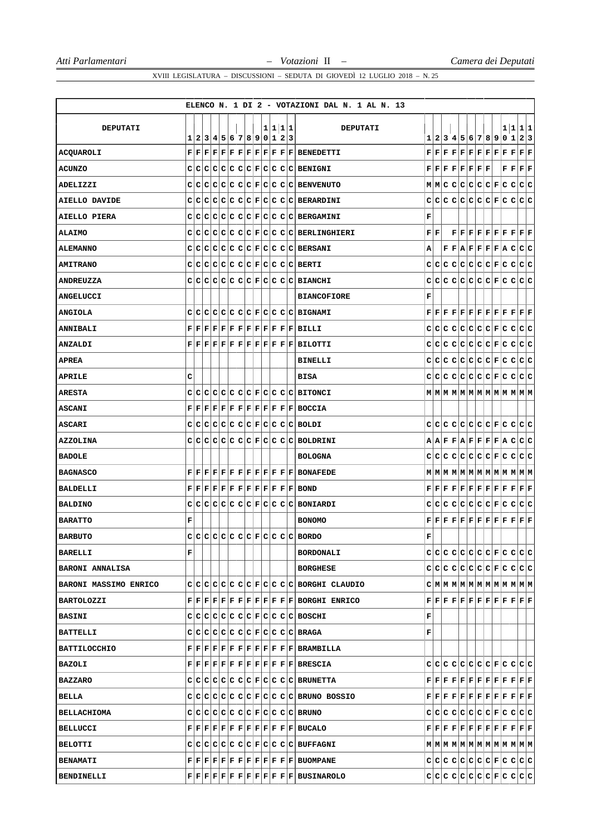|                        |   |  |  |                         |  |         |  | ELENCO N. 1 DI 2 - VOTAZIONI DAL N. 1 AL N. 13                                                                                                                                                                                                  |     |     |  |                                                                                                                                                   |  |                                                                                                                                                                                                                                                                                                                                                                                               |                     |
|------------------------|---|--|--|-------------------------|--|---------|--|-------------------------------------------------------------------------------------------------------------------------------------------------------------------------------------------------------------------------------------------------|-----|-----|--|---------------------------------------------------------------------------------------------------------------------------------------------------|--|-----------------------------------------------------------------------------------------------------------------------------------------------------------------------------------------------------------------------------------------------------------------------------------------------------------------------------------------------------------------------------------------------|---------------------|
| <b>DEPUTATI</b>        |   |  |  |                         |  |         |  |                                                                                                                                                                                                                                                 |     |     |  |                                                                                                                                                   |  | 1 1 1 1                                                                                                                                                                                                                                                                                                                                                                                       |                     |
|                        | 1 |  |  | 2 3 4 5 6 7 8 9 0 1 2 3 |  | 1 1 1 1 |  | <b>DEPUTATI</b>                                                                                                                                                                                                                                 |     |     |  |                                                                                                                                                   |  | 1234567890123                                                                                                                                                                                                                                                                                                                                                                                 |                     |
| ACQUAROLI              |   |  |  |                         |  |         |  | $\mathbf{F} \,   \, \mathbf{F} \,   \, \mathbf{F} \,   \, \mathbf{F} \,   \, \mathbf{F} \,   \, \mathbf{F} \,   \, \mathbf{F} \,   \, \mathbf{F} \,   \, \mathbf{F} \,   \, \mathbf{F} \,   \, \mathbf{B} \, \mathbf{ENEDETTL}$                 |     |     |  |                                                                                                                                                   |  | $\mathbf{F} \,   \, \mathbf{F} \,   \, \mathbf{F} \,   \, \mathbf{F} \,   \, \mathbf{F} \,   \, \mathbf{F} \,   \, \mathbf{F} \,   \, \mathbf{F} \,   \, \mathbf{F} \,   \, \mathbf{F} \,   \, \mathbf{F}$                                                                                                                                                                                    | $ {\bf F} {\bf F} $ |
| <b>ACUNZO</b>          |   |  |  |                         |  |         |  | $C C C C C C C F C C C C BENTGNI$                                                                                                                                                                                                               |     |     |  | $\mathbf{F} \,   \, \mathbf{F} \,   \, \mathbf{F} \,   \, \mathbf{F} \,   \, \mathbf{F} \,   \, \mathbf{F} \,   \, \mathbf{F} \,   \, \mathbf{F}$ |  | $\mathbf{F} \,   \, \mathbf{F} \,   \, \mathbf{F} \,   \, \mathbf{F}$                                                                                                                                                                                                                                                                                                                         |                     |
| ADELIZZI               |   |  |  |                         |  |         |  | $C C C C C C F C C C C E$ BENVENUTO                                                                                                                                                                                                             |     |     |  |                                                                                                                                                   |  | M M C C C C C C F C C C C                                                                                                                                                                                                                                                                                                                                                                     |                     |
| AIELLO DAVIDE          | с |  |  |                         |  |         |  | $C C C C C C F C C C C B\text{ERARDINI}$                                                                                                                                                                                                        |     |     |  |                                                                                                                                                   |  |                                                                                                                                                                                                                                                                                                                                                                                               |                     |
| AIELLO PIERA           |   |  |  |                         |  |         |  | $C C C C C C C F C C C C EERGAMINI$                                                                                                                                                                                                             | F   |     |  |                                                                                                                                                   |  |                                                                                                                                                                                                                                                                                                                                                                                               |                     |
| <b>ALAIMO</b>          |   |  |  |                         |  |         |  | $C C C C C C C F C C C C BERLINGHIERI$                                                                                                                                                                                                          | FF  |     |  |                                                                                                                                                   |  | $\mathbf{F} \,   \, \mathbf{F} \,   \, \mathbf{F} \,   \, \mathbf{F} \,   \, \mathbf{F} \,   \, \mathbf{F} \,   \, \mathbf{F} \,   \, \mathbf{F} \,   \, \mathbf{F} \,   \, \mathbf{F}$                                                                                                                                                                                                       |                     |
| <b>ALEMANNO</b>        | c |  |  |                         |  |         |  | $C C C C C C F C C C C EERSANI$                                                                                                                                                                                                                 | А   |     |  |                                                                                                                                                   |  | $\mathbf{F} \,   \, \mathbf{F} \,   \, \mathbf{F} \,   \, \mathbf{F} \,   \, \mathbf{F} \,   \, \mathbf{F} \,   \, \mathbf{F} \,   \, \mathbf{A} \,   \, \mathbf{C} \,   \, \mathbf{C} \,   \, \mathbf{C}$                                                                                                                                                                                    |                     |
| <b>AMITRANO</b>        |   |  |  |                         |  |         |  | $C C C C C C C F C C C C BERTI$                                                                                                                                                                                                                 |     |     |  |                                                                                                                                                   |  |                                                                                                                                                                                                                                                                                                                                                                                               |                     |
| <b>ANDREUZZA</b>       |   |  |  |                         |  |         |  | $C C C C C C C F C C C C BIANCHI$                                                                                                                                                                                                               |     |     |  |                                                                                                                                                   |  |                                                                                                                                                                                                                                                                                                                                                                                               |                     |
| <b>ANGELUCCI</b>       |   |  |  |                         |  |         |  | <b>BIANCOFIORE</b>                                                                                                                                                                                                                              | F   |     |  |                                                                                                                                                   |  |                                                                                                                                                                                                                                                                                                                                                                                               |                     |
| <b>ANGIOLA</b>         |   |  |  |                         |  |         |  | $C C C C C C C F C C C C BIGNAMI$                                                                                                                                                                                                               |     |     |  |                                                                                                                                                   |  | $\mathbf{F} \,   \, \mathbf{F} \,   \, \mathbf{F} \,   \, \mathbf{F} \,   \, \mathbf{F} \,   \, \mathbf{F} \,   \, \mathbf{F} \,   \, \mathbf{F} \,   \, \mathbf{F} \,   \, \mathbf{F} \,   \, \mathbf{F} \,   \, \mathbf{F} \,   \, \mathbf{F} \,$                                                                                                                                           |                     |
| <b>ANNIBALI</b>        |   |  |  |                         |  |         |  | $\mathbf{F} \,   \, \mathbf{F} \,   \, \mathbf{F} \,   \, \mathbf{F} \,   \, \mathbf{F} \,   \, \mathbf{F} \,   \, \mathbf{F} \,   \, \mathbf{F} \,   \, \mathbf{F} \,   \, \mathbf{F} \,   \, \mathbf{F} \,   \, \mathbf{B} \, \mathtt{ILLI}$  |     |     |  |                                                                                                                                                   |  |                                                                                                                                                                                                                                                                                                                                                                                               |                     |
| <b>ANZALDI</b>         | F |  |  |                         |  |         |  | $\bf  F F F F F F F F F F F F BILOTTI$                                                                                                                                                                                                          |     | C C |  |                                                                                                                                                   |  | C C C C C F C C C C C                                                                                                                                                                                                                                                                                                                                                                         |                     |
| <b>APREA</b>           |   |  |  |                         |  |         |  | <b>BINELLI</b>                                                                                                                                                                                                                                  |     |     |  |                                                                                                                                                   |  |                                                                                                                                                                                                                                                                                                                                                                                               |                     |
| <b>APRILE</b>          | c |  |  |                         |  |         |  | <b>BISA</b>                                                                                                                                                                                                                                     |     |     |  |                                                                                                                                                   |  |                                                                                                                                                                                                                                                                                                                                                                                               |                     |
| <b>ARESTA</b>          | c |  |  |                         |  |         |  | $C C C C C C F C C C C BITONCI$                                                                                                                                                                                                                 |     |     |  |                                                                                                                                                   |  | $\texttt{M} \texttt{M} \texttt{M} \texttt{M} \texttt{M} \texttt{M} \texttt{M} \texttt{M} \texttt{M} \texttt{M} \texttt{M} \texttt{M}$                                                                                                                                                                                                                                                         |                     |
| <b>ASCANI</b>          |   |  |  |                         |  |         |  | $\mathbf{F} \,   \, \mathbf{F} \,   \, \mathbf{F} \,   \, \mathbf{F} \,   \, \mathbf{F} \,   \, \mathbf{F} \,   \, \mathbf{F} \,   \, \mathbf{F} \,   \, \mathbf{F} \,   \, \mathbf{F} \,   \, \mathbf{F} \,   \, \mathbf{B} \, \mathbf{OCCIA}$ |     |     |  |                                                                                                                                                   |  |                                                                                                                                                                                                                                                                                                                                                                                               |                     |
| <b>ASCARI</b>          |   |  |  |                         |  |         |  | $C C C C C C C F C C C C B0LDI$                                                                                                                                                                                                                 |     |     |  |                                                                                                                                                   |  |                                                                                                                                                                                                                                                                                                                                                                                               |                     |
| <b>AZZOLINA</b>        |   |  |  |                         |  |         |  | $C C C C C C C F C C C C BOLDRINI$                                                                                                                                                                                                              |     |     |  |                                                                                                                                                   |  | $A A F F A F F F F A C C C$                                                                                                                                                                                                                                                                                                                                                                   |                     |
| <b>BADOLE</b>          |   |  |  |                         |  |         |  | <b>BOLOGNA</b>                                                                                                                                                                                                                                  |     |     |  |                                                                                                                                                   |  |                                                                                                                                                                                                                                                                                                                                                                                               |                     |
| <b>BAGNASCO</b>        |   |  |  |                         |  |         |  | $\mathbf{F} \,   \, \mathbf{F} \,   \, \mathbf{F} \,   \, \mathbf{F} \,   \, \mathbf{F} \,   \, \mathbf{F} \,   \, \mathbf{F} \,   \, \mathbf{F} \,   \, \mathbf{F} \,   \, \mathbf{F} \,   \, \mathbf{F} \,  $ BONAFEDE                        |     |     |  |                                                                                                                                                   |  | $M$   $M$   $M$   $M$   $M$   $M$   $M$   $M$   $M$   $M$   $M$   $M$                                                                                                                                                                                                                                                                                                                         |                     |
| BALDELLI               |   |  |  |                         |  |         |  | ${\bf F}[{\bf F}[{\bf F}] {\bf F}[{\bf F}] {\bf F}[{\bf F}] {\bf F}[{\bf F}] {\bf F}[{\bf F}] {\bf F}[{\bf F}] {\bf BOND}$                                                                                                                      |     |     |  |                                                                                                                                                   |  | $\mathbf{F} \,   \, \mathbf{F} \,   \, \mathbf{F} \,   \, \mathbf{F} \,   \, \mathbf{F} \,   \, \mathbf{F} \,   \, \mathbf{F} \,   \, \mathbf{F} \,   \, \mathbf{F} \,   \, \mathbf{F} \,   \, \mathbf{F} \,   \, \mathbf{F} \,   \, \mathbf{F} \,$                                                                                                                                           |                     |
| <b>BALDINO</b>         | с |  |  |                         |  |         |  | $C C C C C C F C C C C BONIARDI$                                                                                                                                                                                                                | C I | c   |  |                                                                                                                                                   |  | C C C C C F C C C C C                                                                                                                                                                                                                                                                                                                                                                         |                     |
| <b>BARATTO</b>         | F |  |  |                         |  |         |  | <b>BONOMO</b>                                                                                                                                                                                                                                   |     |     |  |                                                                                                                                                   |  | $\mathbf{F} \,   \, \mathbf{F} \,   \, \mathbf{F} \,   \, \mathbf{F} \,   \, \mathbf{F} \,   \, \mathbf{F} \,   \, \mathbf{F} \,   \, \mathbf{F} \,   \, \mathbf{F} \,   \, \mathbf{F} \,   \, \mathbf{F} \,   \, \mathbf{F} \,$                                                                                                                                                              |                     |
| <b>BARBUTO</b>         | C |  |  |                         |  |         |  | $C C C C C C F C C C C BORDO$                                                                                                                                                                                                                   | F   |     |  |                                                                                                                                                   |  |                                                                                                                                                                                                                                                                                                                                                                                               |                     |
| <b>BARELLI</b>         | F |  |  |                         |  |         |  | <b>BORDONALI</b>                                                                                                                                                                                                                                |     |     |  |                                                                                                                                                   |  |                                                                                                                                                                                                                                                                                                                                                                                               |                     |
| <b>BARONI ANNALISA</b> |   |  |  |                         |  |         |  | <b>BORGHESE</b>                                                                                                                                                                                                                                 |     |     |  |                                                                                                                                                   |  |                                                                                                                                                                                                                                                                                                                                                                                               |                     |
| BARONI MASSIMO ENRICO  |   |  |  |                         |  |         |  | $C C C C C C C F C C C C BORGHI CLAUDIO$                                                                                                                                                                                                        |     |     |  |                                                                                                                                                   |  | $C M M M M M M M M M M M M M M $                                                                                                                                                                                                                                                                                                                                                              |                     |
| BARTOLOZZI             |   |  |  |                         |  |         |  | $F F F F F F F F F F F F F BORGHI$ ENRICO                                                                                                                                                                                                       |     |     |  |                                                                                                                                                   |  | $\mathbf{F} \,   \, \mathbf{F} \,   \, \mathbf{F} \,   \, \mathbf{F} \,   \, \mathbf{F} \,   \, \mathbf{F} \,   \, \mathbf{F} \,   \, \mathbf{F} \,   \, \mathbf{F} \,   \, \mathbf{F} \,   \, \mathbf{F} \,   \, \mathbf{F} \,   \, \mathbf{F} \,   \, \mathbf{F} \,   \, \mathbf{F} \,   \, \mathbf{F} \,   \, \mathbf{F} \,   \, \mathbf{F} \,   \, \mathbf{F} \,   \, \mathbf{F} \,   \,$ |                     |
| <b>BASINI</b>          |   |  |  |                         |  |         |  | $C C C C C C C F C C C C BOSCHI$                                                                                                                                                                                                                | F   |     |  |                                                                                                                                                   |  |                                                                                                                                                                                                                                                                                                                                                                                               |                     |
| <b>BATTELLI</b>        |   |  |  |                         |  |         |  | $C C C C C C C F C C C C BRAGA$                                                                                                                                                                                                                 | F   |     |  |                                                                                                                                                   |  |                                                                                                                                                                                                                                                                                                                                                                                               |                     |
| <b>BATTILOCCHIO</b>    |   |  |  |                         |  |         |  | $F F F F F F F F F F F F F B$ RAMBILLA                                                                                                                                                                                                          |     |     |  |                                                                                                                                                   |  |                                                                                                                                                                                                                                                                                                                                                                                               |                     |
| <b>BAZOLI</b>          |   |  |  |                         |  |         |  | $\mathbf{F} \,   \, \mathbf{F} \,   \, \mathbf{F} \,   \, \mathbf{F} \,   \, \mathbf{F} \,   \, \mathbf{F} \,   \, \mathbf{F} \,   \, \mathbf{F} \,   \, \mathbf{F} \,   \, \mathbf{F} \,   \, \mathbf{F} \,   \, \mathbf{B} \mathbf{RESCLA}$   |     |     |  |                                                                                                                                                   |  | $C C C C C C C C F C C C C C $                                                                                                                                                                                                                                                                                                                                                                |                     |
| <b>BAZZARO</b>         |   |  |  |                         |  |         |  | C C C C C C C F C C C C BRUNETTA                                                                                                                                                                                                                |     |     |  |                                                                                                                                                   |  | $\mathbf{F} \,   \, \mathbf{F} \,   \, \mathbf{F} \,   \, \mathbf{F} \,   \, \mathbf{F} \,   \, \mathbf{F} \,   \, \mathbf{F} \,   \, \mathbf{F} \,   \, \mathbf{F} \,   \, \mathbf{F} \,   \, \mathbf{F} \,   \, \mathbf{F} \,   \, \mathbf{F} \,$                                                                                                                                           |                     |
| BELLA                  |   |  |  |                         |  |         |  | $C C C C C C C F C C C C $ BRUNO BOSSIO                                                                                                                                                                                                         |     |     |  |                                                                                                                                                   |  | $\mathbf{F} \,   \, \mathbf{F} \,   \, \mathbf{F} \,   \, \mathbf{F} \,   \, \mathbf{F} \,   \, \mathbf{F} \,   \, \mathbf{F} \,   \, \mathbf{F} \,   \, \mathbf{F} \,   \, \mathbf{F} \,   \, \mathbf{F} \,   \, \mathbf{F} \,   \, \mathbf{F} \,$                                                                                                                                           |                     |
| <b>BELLACHIOMA</b>     |   |  |  |                         |  |         |  | C C C C C C C F C C C C BRUNO                                                                                                                                                                                                                   |     |     |  |                                                                                                                                                   |  |                                                                                                                                                                                                                                                                                                                                                                                               |                     |
| <b>BELLUCCI</b>        |   |  |  |                         |  |         |  | $\mathbf{F} \,   \, \mathbf{F} \,   \, \mathbf{F} \,   \, \mathbf{F} \,   \, \mathbf{F} \,   \, \mathbf{F} \,   \, \mathbf{F} \,   \, \mathbf{F} \,   \, \mathbf{F} \,   \, \mathbf{F} \,   \, \mathbf{F} \,  $ BUCALO                          |     |     |  |                                                                                                                                                   |  | $\mathbf{F} \,   \, \mathbf{F} \,   \, \mathbf{F} \,   \, \mathbf{F} \,   \, \mathbf{F} \,   \, \mathbf{F} \,   \, \mathbf{F} \,   \, \mathbf{F} \,   \, \mathbf{F} \,   \, \mathbf{F} \,   \, \mathbf{F} \,   \, \mathbf{F} \,$                                                                                                                                                              |                     |
| <b>BELOTTI</b>         |   |  |  |                         |  |         |  | $C C C C C C C F C C C C BUFFAGNI$                                                                                                                                                                                                              |     |     |  |                                                                                                                                                   |  |                                                                                                                                                                                                                                                                                                                                                                                               |                     |
| <b>BENAMATI</b>        |   |  |  |                         |  |         |  | $\mathbf{F} \,   \, \mathbf{F} \,   \, \mathbf{F} \,   \, \mathbf{F} \,   \, \mathbf{F} \,   \, \mathbf{F} \,   \, \mathbf{F} \,   \, \mathbf{F} \,   \, \mathbf{F} \,   \, \mathbf{F} \,   \, \mathbf{BUOMPANE}$                               |     |     |  |                                                                                                                                                   |  |                                                                                                                                                                                                                                                                                                                                                                                               |                     |
| BENDINELLI             |   |  |  |                         |  |         |  | F F F F F F F F F F F F F BUSINAROLO                                                                                                                                                                                                            |     |     |  |                                                                                                                                                   |  |                                                                                                                                                                                                                                                                                                                                                                                               |                     |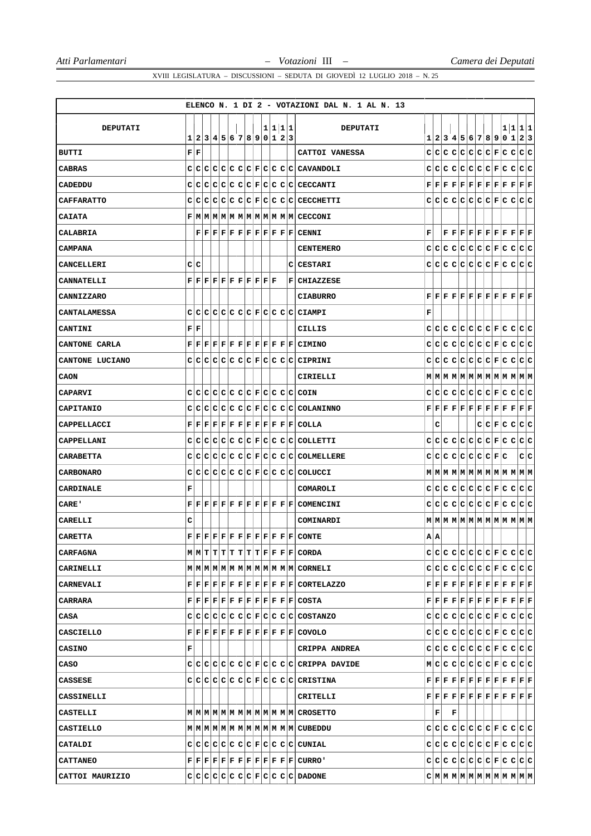|                   |                        |                           |                                                                                                                                                                                         |  |  |  |  |         | ELENCO N. 1 DI 2 - VOTAZIONI DAL N. 1 AL N. 13                                                                                                                                                                                               |   |             |      |                       |  |                                                                                                                                                                                                                                                                                                                                                                                               |     |
|-------------------|------------------------|---------------------------|-----------------------------------------------------------------------------------------------------------------------------------------------------------------------------------------|--|--|--|--|---------|----------------------------------------------------------------------------------------------------------------------------------------------------------------------------------------------------------------------------------------------|---|-------------|------|-----------------------|--|-----------------------------------------------------------------------------------------------------------------------------------------------------------------------------------------------------------------------------------------------------------------------------------------------------------------------------------------------------------------------------------------------|-----|
|                   |                        |                           |                                                                                                                                                                                         |  |  |  |  |         |                                                                                                                                                                                                                                              |   |             |      |                       |  |                                                                                                                                                                                                                                                                                                                                                                                               |     |
| DEPUTATI          | 1                      |                           | 2 3 4 5 6 7 8 9 0 1 2 3                                                                                                                                                                 |  |  |  |  | 1 1 1 1 | <b>DEPUTATI</b>                                                                                                                                                                                                                              |   |             |      |                       |  | 1 1 1 1<br>1 2 3 4 5 6 7 8 9 0 1                                                                                                                                                                                                                                                                                                                                                              | 2 3 |
| <b>BUTTI</b>      | ${\bf F} \mid {\bf F}$ |                           |                                                                                                                                                                                         |  |  |  |  |         | CATTOI VANESSA                                                                                                                                                                                                                               |   |             |      |                       |  |                                                                                                                                                                                                                                                                                                                                                                                               |     |
| CABRAS            |                        |                           |                                                                                                                                                                                         |  |  |  |  |         | $C C C C C C C F C C C C C C\text{ANADOLI}$                                                                                                                                                                                                  |   |             |      |                       |  |                                                                                                                                                                                                                                                                                                                                                                                               |     |
| CADEDDU           |                        |                           |                                                                                                                                                                                         |  |  |  |  |         | $C C C C C C C F C C C C C CECCANTI$                                                                                                                                                                                                         |   |             |      |                       |  | $\mathbf{F} \,   \, \mathbf{F} \,   \, \mathbf{F} \,   \, \mathbf{F} \,   \, \mathbf{F} \,   \, \mathbf{F} \,   \, \mathbf{F} \,   \, \mathbf{F} \,   \, \mathbf{F} \,   \, \mathbf{F} \,   \, \mathbf{F} \,   \, \mathbf{F} \,   \, \mathbf{F}$                                                                                                                                              |     |
| <b>CAFFARATTO</b> |                        | C C                       |                                                                                                                                                                                         |  |  |  |  |         | $ C C C C C F C C C C C$ ECCHETTI                                                                                                                                                                                                            |   |             |      |                       |  | didididididirlalalda                                                                                                                                                                                                                                                                                                                                                                          |     |
| <b>CAIATA</b>     |                        |                           |                                                                                                                                                                                         |  |  |  |  |         | F M M M M M M M M M M M M M                                                                                                                                                                                                                  |   |             |      |                       |  |                                                                                                                                                                                                                                                                                                                                                                                               |     |
| CALABRIA          |                        |                           |                                                                                                                                                                                         |  |  |  |  |         | $\mathbf{F} \,   \, \mathbf{F} \,   \, \mathbf{F} \,   \, \mathbf{F} \,   \, \mathbf{F} \,   \, \mathbf{F} \,   \, \mathbf{F} \,   \, \mathbf{F} \,   \, \mathbf{F} \,   \, \mathbf{C} \, \mathbf{E} \mathbf{N} \mathbf{N} \mathbf{I}$       | F |             |      |                       |  | $\mathbf{F} \,   \, \mathbf{F} \,   \, \mathbf{F} \,   \, \mathbf{F} \,   \, \mathbf{F} \,   \, \mathbf{F} \,   \, \mathbf{F} \,   \, \mathbf{F} \,   \, \mathbf{F} \,   \, \mathbf{F} \,   \, \mathbf{F}$                                                                                                                                                                                    |     |
| <b>CAMPANA</b>    |                        |                           |                                                                                                                                                                                         |  |  |  |  |         | <b>CENTEMERO</b>                                                                                                                                                                                                                             | c | IС          |      |                       |  | C C C C C F C C C C                                                                                                                                                                                                                                                                                                                                                                           |     |
| <b>CANCELLERI</b> |                        | C C                       |                                                                                                                                                                                         |  |  |  |  |         | C CESTARI                                                                                                                                                                                                                                    |   |             |      |                       |  |                                                                                                                                                                                                                                                                                                                                                                                               |     |
| <b>CANNATELLI</b> |                        |                           | $\mathbf{F} \,   \, \mathbf{F} \,   \, \mathbf{F} \,   \, \mathbf{F} \,   \, \mathbf{F} \,   \, \mathbf{F} \,   \, \mathbf{F} \,   \, \mathbf{F} \,   \, \mathbf{F} \,   \, \mathbf{F}$ |  |  |  |  |         | <b>F CHIAZZESE</b>                                                                                                                                                                                                                           |   |             |      |                       |  |                                                                                                                                                                                                                                                                                                                                                                                               |     |
| CANNIZZARO        |                        |                           |                                                                                                                                                                                         |  |  |  |  |         | <b>CIABURRO</b>                                                                                                                                                                                                                              |   |             |      |                       |  |                                                                                                                                                                                                                                                                                                                                                                                               |     |
| CANTALAMESSA      |                        |                           |                                                                                                                                                                                         |  |  |  |  |         | $C C C C C C C F C C C C CLAMPI$                                                                                                                                                                                                             | F |             |      |                       |  |                                                                                                                                                                                                                                                                                                                                                                                               |     |
| <b>CANTINI</b>    |                        | ${\bf F} \,   \, {\bf F}$ |                                                                                                                                                                                         |  |  |  |  |         | CILLIS                                                                                                                                                                                                                                       |   |             |      |                       |  |                                                                                                                                                                                                                                                                                                                                                                                               |     |
| CANTONE CARLA     |                        |                           |                                                                                                                                                                                         |  |  |  |  |         | $\mathbf{F} \,   \, \mathbf{F} \,   \, \mathbf{F} \,   \, \mathbf{F} \,   \, \mathbf{F} \,   \, \mathbf{F} \,   \, \mathbf{F} \,   \, \mathbf{F} \,   \, \mathbf{F} \,   \, \mathbf{F} \,   \, \mathbf{C}$ IMINO                             |   |             |      |                       |  | didididididirlalala                                                                                                                                                                                                                                                                                                                                                                           |     |
| CANTONE LUCIANO   |                        |                           |                                                                                                                                                                                         |  |  |  |  |         | $C C C C C C C F C C C C C1PRINI$                                                                                                                                                                                                            |   |             |      |                       |  | didididididididididid                                                                                                                                                                                                                                                                                                                                                                         |     |
| CAON              |                        |                           |                                                                                                                                                                                         |  |  |  |  |         | CIRIELLI                                                                                                                                                                                                                                     |   |             |      |                       |  | $M$   $M$   $M$   $M$   $M$   $M$   $M$   $M$   $M$   $M$   $M$   $M$                                                                                                                                                                                                                                                                                                                         |     |
| <b>CAPARVI</b>    |                        |                           |                                                                                                                                                                                         |  |  |  |  |         | $C C C C C C C F C C C C C0IN$                                                                                                                                                                                                               |   |             |      |                       |  |                                                                                                                                                                                                                                                                                                                                                                                               |     |
| CAPITANIO         |                        |                           |                                                                                                                                                                                         |  |  |  |  |         | $C C C C C C C F C C C C C0LANINNO$                                                                                                                                                                                                          |   |             |      |                       |  | $\mathbf{F} \,   \, \mathbf{F} \,   \, \mathbf{F} \,   \, \mathbf{F} \,   \, \mathbf{F} \,   \, \mathbf{F} \,   \, \mathbf{F} \,   \, \mathbf{F} \,   \, \mathbf{F} \,   \, \mathbf{F} \,   \, \mathbf{F} \,   \, \mathbf{F} \,   \, \mathbf{F} \,   \, \mathbf{F} \,   \, \mathbf{F} \,   \, \mathbf{F} \,   \, \mathbf{F} \,   \, \mathbf{F} \,   \, \mathbf{F} \,   \, \mathbf{F} \,   \,$ |     |
| CAPPELLACCI       |                        |                           |                                                                                                                                                                                         |  |  |  |  |         | $\mathbf{F} \,   \, \mathbf{F} \,   \, \mathbf{F} \,   \, \mathbf{F} \,   \, \mathbf{F} \,   \, \mathbf{F} \,   \, \mathbf{F} \,   \, \mathbf{F} \,   \, \mathbf{F} \,   \, \mathbf{F} \,   \, \mathbf{F} \,   \, \mathbf{COLLA}$            |   | c           |      |                       |  | C C F C C C C                                                                                                                                                                                                                                                                                                                                                                                 |     |
| CAPPELLANI        |                        |                           |                                                                                                                                                                                         |  |  |  |  |         | $C C C C C C C F C C C C C0LLETTI$                                                                                                                                                                                                           |   |             |      |                       |  |                                                                                                                                                                                                                                                                                                                                                                                               |     |
| <b>CARABETTA</b>  |                        |                           |                                                                                                                                                                                         |  |  |  |  |         | $C C C C C C C F C C C C C0LMELLERE$                                                                                                                                                                                                         |   |             |      | $C C C C C C C C F C$ |  |                                                                                                                                                                                                                                                                                                                                                                                               | C C |
| <b>CARBONARO</b>  |                        |                           |                                                                                                                                                                                         |  |  |  |  |         | $C C C C C C C F C C C C C0LUCCI$                                                                                                                                                                                                            |   |             |      |                       |  | $M$   $M$   $M$   $M$   $M$   $M$   $M$   $M$   $M$   $M$   $M$   $M$                                                                                                                                                                                                                                                                                                                         |     |
| <b>CARDINALE</b>  | F                      |                           |                                                                                                                                                                                         |  |  |  |  |         | COMAROLI                                                                                                                                                                                                                                     |   |             |      |                       |  |                                                                                                                                                                                                                                                                                                                                                                                               |     |
| CARE'             |                        |                           |                                                                                                                                                                                         |  |  |  |  |         | F F F F F F F F F F F F F COMENCINI                                                                                                                                                                                                          |   | c∣c         |      |                       |  | C C C C C F C C C C C                                                                                                                                                                                                                                                                                                                                                                         |     |
| CARELLI           | с                      |                           |                                                                                                                                                                                         |  |  |  |  |         | COMINARDI                                                                                                                                                                                                                                    |   |             |      |                       |  |                                                                                                                                                                                                                                                                                                                                                                                               |     |
| <b>CARETTA</b>    | F                      |                           |                                                                                                                                                                                         |  |  |  |  |         | $\bf  F F F F F F F F F F F F CONTE$                                                                                                                                                                                                         |   | AA          |      |                       |  |                                                                                                                                                                                                                                                                                                                                                                                               |     |
| <b>CARFAGNA</b>   |                        |                           |                                                                                                                                                                                         |  |  |  |  |         | M M T T T T T T T F F F F CORDA                                                                                                                                                                                                              |   |             |      |                       |  |                                                                                                                                                                                                                                                                                                                                                                                               |     |
| CARINELLI         |                        |                           |                                                                                                                                                                                         |  |  |  |  |         |                                                                                                                                                                                                                                              |   |             |      |                       |  |                                                                                                                                                                                                                                                                                                                                                                                               |     |
| CARNEVALI         |                        |                           |                                                                                                                                                                                         |  |  |  |  |         | $F F F F F F F F F F F F F C$ ORTELAZZO                                                                                                                                                                                                      |   |             |      |                       |  | $\mathbf{F} \,   \, \mathbf{F} \,   \, \mathbf{F} \,   \, \mathbf{F} \,   \, \mathbf{F} \,   \, \mathbf{F} \,   \, \mathbf{F} \,   \, \mathbf{F} \,   \, \mathbf{F} \,   \, \mathbf{F} \,   \, \mathbf{F} \,   \, \mathbf{F} \,   \, \mathbf{F} \,$                                                                                                                                           |     |
| <b>CARRARA</b>    |                        |                           |                                                                                                                                                                                         |  |  |  |  |         | $\mathbf{F} \,   \, \mathbf{F} \,   \, \mathbf{F} \,   \, \mathbf{F} \,   \, \mathbf{F} \,   \, \mathbf{F} \,   \, \mathbf{F} \,   \, \mathbf{F} \,   \, \mathbf{F} \,   \, \mathbf{F} \,   \, \mathbf{COSTA}$                               |   |             |      |                       |  | $\mathbf{F} \,   \, \mathbf{F} \,   \, \mathbf{F} \,   \, \mathbf{F} \,   \, \mathbf{F} \,   \, \mathbf{F} \,   \, \mathbf{F} \,   \, \mathbf{F} \,   \, \mathbf{F} \,   \, \mathbf{F} \,   \, \mathbf{F} \,   \, \mathbf{F} \,   \, \mathbf{F} \,   \, \mathbf{F} \,   \, \mathbf{F} \,   \, \mathbf{F} \,   \, \mathbf{F} \,   \, \mathbf{F} \,   \, \mathbf{F} \,   \, \mathbf{F} \,   \,$ |     |
| CASA              |                        |                           |                                                                                                                                                                                         |  |  |  |  |         | $C C C C C C C F C C C C C$ COSTANZO                                                                                                                                                                                                         |   |             |      |                       |  |                                                                                                                                                                                                                                                                                                                                                                                               |     |
| CASCIELLO         |                        |                           |                                                                                                                                                                                         |  |  |  |  |         | $\mathbf{F} \,   \, \mathbf{F} \,   \, \mathbf{F} \,   \, \mathbf{F} \,   \, \mathbf{F} \,   \, \mathbf{F} \,   \, \mathbf{F} \,   \, \mathbf{F} \,   \, \mathbf{F} \,   \, \mathbf{F} \,   \, \mathbf{F} \,   \, \mathbf{C} \mathrm{OVOLO}$ |   |             |      |                       |  |                                                                                                                                                                                                                                                                                                                                                                                               |     |
| <b>CASINO</b>     | F                      |                           |                                                                                                                                                                                         |  |  |  |  |         | <b>CRIPPA ANDREA</b>                                                                                                                                                                                                                         |   |             |      |                       |  |                                                                                                                                                                                                                                                                                                                                                                                               |     |
| CASO              |                        |                           |                                                                                                                                                                                         |  |  |  |  |         | $C C C C C C C F C C C C C $ CRIPPA DAVIDE                                                                                                                                                                                                   |   |             |      |                       |  | M C C C C C C F C C C C C                                                                                                                                                                                                                                                                                                                                                                     |     |
| CASSESE           |                        |                           |                                                                                                                                                                                         |  |  |  |  |         | C C C C C C C F C C C C C RISTIME                                                                                                                                                                                                            |   |             |      |                       |  | $\mathbf{F} \,   \, \mathbf{F} \,   \, \mathbf{F} \,   \, \mathbf{F} \,   \, \mathbf{F} \,   \, \mathbf{F} \,   \, \mathbf{F} \,   \, \mathbf{F} \,   \, \mathbf{F} \,   \, \mathbf{F} \,   \, \mathbf{F} \,   \, \mathbf{F} \,   \, \mathbf{F} \,$                                                                                                                                           |     |
| CASSINELLI        |                        |                           |                                                                                                                                                                                         |  |  |  |  |         | CRITELLI                                                                                                                                                                                                                                     |   |             |      |                       |  | $\mathbf{F} \,   \, \mathbf{F} \,   \, \mathbf{F} \,   \, \mathbf{F} \,   \, \mathbf{F} \,   \, \mathbf{F} \,   \, \mathbf{F} \,   \, \mathbf{F} \,   \, \mathbf{F} \,   \, \mathbf{F} \,   \, \mathbf{F} \,   \, \mathbf{F} \,   \, \mathbf{F} \,   \, \mathbf{F} \,   \, \mathbf{F} \,   \, \mathbf{F} \,   \, \mathbf{F} \,   \, \mathbf{F} \,   \, \mathbf{F} \,   \, \mathbf{F} \,   \,$ |     |
| CASTELLI          |                        |                           |                                                                                                                                                                                         |  |  |  |  |         |                                                                                                                                                                                                                                              |   | $ {\bf F} $ | l F. |                       |  |                                                                                                                                                                                                                                                                                                                                                                                               |     |
| <b>CASTIELLO</b>  |                        |                           |                                                                                                                                                                                         |  |  |  |  |         |                                                                                                                                                                                                                                              |   |             |      |                       |  |                                                                                                                                                                                                                                                                                                                                                                                               |     |
| CATALDI           |                        |                           |                                                                                                                                                                                         |  |  |  |  |         | $C C C C C C C F C C C C C C\text{UNIAL}$                                                                                                                                                                                                    |   |             |      |                       |  |                                                                                                                                                                                                                                                                                                                                                                                               |     |
| <b>CATTANEO</b>   |                        |                           |                                                                                                                                                                                         |  |  |  |  |         | $\mathbf{F} \,   \, \mathbf{F} \,   \, \mathbf{F} \,   \, \mathbf{F} \,   \, \mathbf{F} \,   \, \mathbf{F} \,   \, \mathbf{F} \,   \, \mathbf{F} \,   \, \mathbf{F} \,   \, \mathbf{F} \,   \, \mathbf{C} \mathbf{URRO} \,   \,$             |   |             |      |                       |  |                                                                                                                                                                                                                                                                                                                                                                                               |     |
| CATTOI MAURIZIO   |                        |                           |                                                                                                                                                                                         |  |  |  |  |         | $ c c c c c c c F c c c c $ DADONE                                                                                                                                                                                                           |   |             |      |                       |  | $C M M M M M M M M M M M M M $                                                                                                                                                                                                                                                                                                                                                                |     |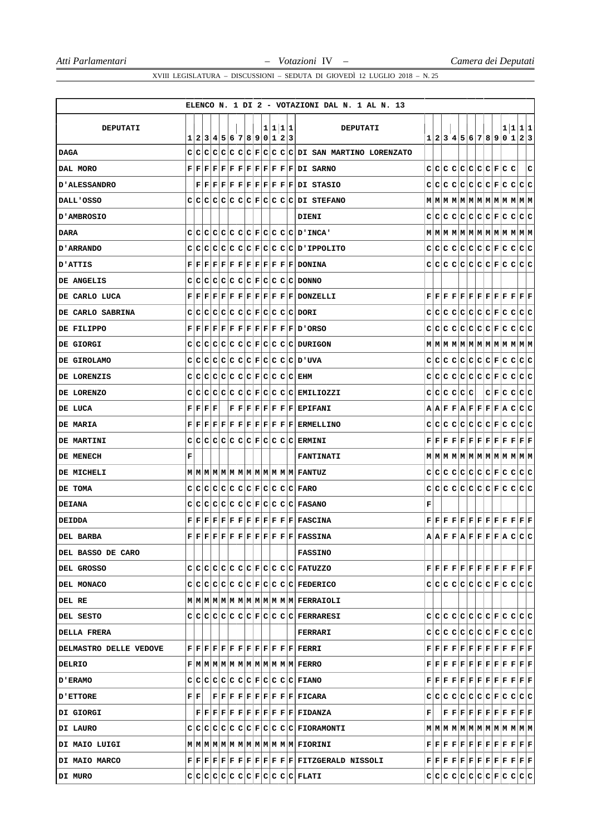|                          |   |                                |                                                           |                           |  |  |  |         | ELENCO N. 1 DI 2 - VOTAZIONI DAL N. 1 AL N. 13                                                                                                                                                                                                                               |   |  |             |  |  |                                                                                                                                                                                                                                                                                                                                                                                               |   |
|--------------------------|---|--------------------------------|-----------------------------------------------------------|---------------------------|--|--|--|---------|------------------------------------------------------------------------------------------------------------------------------------------------------------------------------------------------------------------------------------------------------------------------------|---|--|-------------|--|--|-----------------------------------------------------------------------------------------------------------------------------------------------------------------------------------------------------------------------------------------------------------------------------------------------------------------------------------------------------------------------------------------------|---|
| DEPUTATI                 |   |                                |                                                           |                           |  |  |  | 1 1 1 1 | <b>DEPUTATI</b>                                                                                                                                                                                                                                                              |   |  |             |  |  | 1 1 1 1                                                                                                                                                                                                                                                                                                                                                                                       |   |
|                          |   |                                |                                                           | 1 2 3 4 5 6 7 8 9 0 1 2 3 |  |  |  |         |                                                                                                                                                                                                                                                                              |   |  |             |  |  | 1 2 3 4 5 6 7 8 9 0 1 2 3                                                                                                                                                                                                                                                                                                                                                                     |   |
| <b>DAGA</b>              |   |                                |                                                           |                           |  |  |  |         | $C C C C C C C F C C C DI$ SAN MARTINO LORENZATO                                                                                                                                                                                                                             |   |  |             |  |  |                                                                                                                                                                                                                                                                                                                                                                                               |   |
| DAL MORO                 |   |                                |                                                           |                           |  |  |  |         | $F F F F F F F F F F F F F DI$ SARNO                                                                                                                                                                                                                                         |   |  |             |  |  | $C C C C C C C C F C C$                                                                                                                                                                                                                                                                                                                                                                       | c |
| <b>D'ALESSANDRO</b>      |   |                                |                                                           |                           |  |  |  |         | $F[F F F F F F F F F F F DI$ STASIO                                                                                                                                                                                                                                          |   |  |             |  |  |                                                                                                                                                                                                                                                                                                                                                                                               |   |
| DALL'OSSO                |   |                                |                                                           |                           |  |  |  |         | $c c c c c c c c c c c c c $ DI STEFANO                                                                                                                                                                                                                                      |   |  |             |  |  | $M$   $M$   $M$   $M$   $M$   $M$   $M$   $M$   $M$   $M$   $M$   $M$                                                                                                                                                                                                                                                                                                                         |   |
| <b>D'AMBROSIO</b>        |   |                                |                                                           |                           |  |  |  |         | <b>DIENI</b>                                                                                                                                                                                                                                                                 |   |  |             |  |  |                                                                                                                                                                                                                                                                                                                                                                                               |   |
| <b>DARA</b>              |   |                                |                                                           |                           |  |  |  |         | $C C C C C C C F C C C C D'INCA'$                                                                                                                                                                                                                                            |   |  |             |  |  |                                                                                                                                                                                                                                                                                                                                                                                               |   |
| <b>D'ARRANDO</b>         | C |                                |                                                           |                           |  |  |  |         | C C C C C C F C C C C D'IPPOLITO                                                                                                                                                                                                                                             |   |  |             |  |  |                                                                                                                                                                                                                                                                                                                                                                                               |   |
| D'ATTIS                  |   |                                |                                                           |                           |  |  |  |         | $\mathbf{F} \,   \, \mathbf{F} \,   \, \mathbf{F} \,   \, \mathbf{F} \,   \, \mathbf{F} \,   \, \mathbf{F} \,   \, \mathbf{F} \,   \, \mathbf{F} \,   \, \mathbf{F} \,   \, \mathbf{F} \,   \, \mathbf{F} \,  $                                                              |   |  |             |  |  |                                                                                                                                                                                                                                                                                                                                                                                               |   |
| DE ANGELIS               |   |                                |                                                           |                           |  |  |  |         | $C C C C C C C F C C C C DONNO$                                                                                                                                                                                                                                              |   |  |             |  |  |                                                                                                                                                                                                                                                                                                                                                                                               |   |
| DE CARLO LUCA            |   |                                |                                                           |                           |  |  |  |         | F[F F F F F F F F F F F F DONZELLLI                                                                                                                                                                                                                                          |   |  |             |  |  | $\mathbf{F} \,   \, \mathbf{F} \,   \, \mathbf{F} \,   \, \mathbf{F} \,   \, \mathbf{F} \,   \, \mathbf{F} \,   \, \mathbf{F} \,   \, \mathbf{F} \,   \, \mathbf{F} \,   \, \mathbf{F} \,   \, \mathbf{F} \,   \, \mathbf{F} \,   \, \mathbf{F} \,   \, \mathbf{F} \,   \, \mathbf{F} \,   \, \mathbf{F} \,   \, \mathbf{F} \,   \, \mathbf{F} \,   \, \mathbf{F} \,   \, \mathbf{F} \,   \,$ |   |
| DE CARLO SABRINA         |   |                                |                                                           |                           |  |  |  |         | $C C C C C C C F C C C C D0RI$                                                                                                                                                                                                                                               |   |  |             |  |  |                                                                                                                                                                                                                                                                                                                                                                                               |   |
| DE FILIPPO               |   |                                |                                                           |                           |  |  |  |         | $\mathbf{F} \,   \, \mathbf{F} \,   \, \mathbf{F} \,   \, \mathbf{F} \,   \, \mathbf{F} \,   \, \mathbf{F} \,   \, \mathbf{F} \,   \, \mathbf{F} \,   \, \mathbf{F} \,   \, \mathbf{F} \,   \, \mathbf{F} \,   \, \mathbf{D} \,   \, \text{ORSO}$                            |   |  |             |  |  |                                                                                                                                                                                                                                                                                                                                                                                               |   |
| DE GIORGI                |   |                                |                                                           |                           |  |  |  |         | $C C C C C C C F C C C C DURIGON$                                                                                                                                                                                                                                            |   |  |             |  |  | $\texttt{M} \texttt{M} \texttt{M} \texttt{M} \texttt{M} \texttt{M} \texttt{M} \texttt{M} \texttt{M} \texttt{M} \texttt{M} \texttt{M}$                                                                                                                                                                                                                                                         |   |
| DE GIROLAMO              |   |                                |                                                           |                           |  |  |  |         | $C C C C C C C F C C C C D'UVA$                                                                                                                                                                                                                                              |   |  |             |  |  |                                                                                                                                                                                                                                                                                                                                                                                               |   |
| DE LORENZIS              |   |                                |                                                           |                           |  |  |  |         | $C C C C C C C F C C C C EHM$                                                                                                                                                                                                                                                |   |  |             |  |  |                                                                                                                                                                                                                                                                                                                                                                                               |   |
| DE LORENZO               |   |                                |                                                           |                           |  |  |  |         | $C C C C C C C F C C C C EMLIOZZI$                                                                                                                                                                                                                                           |   |  | C C C C C C |  |  | C F C C C C                                                                                                                                                                                                                                                                                                                                                                                   |   |
| DE LUCA                  |   |                                | ${\bf F} \,   \, {\bf F} \,   \, {\bf F} \,   \, {\bf F}$ |                           |  |  |  |         | F F F F F F F F EPIFANI                                                                                                                                                                                                                                                      |   |  |             |  |  | $A  A F F A F F F F A C C C$                                                                                                                                                                                                                                                                                                                                                                  |   |
| <b>DE MARIA</b>          |   |                                |                                                           |                           |  |  |  |         | $\mathbf{F}   \mathbf{F}   \mathbf{F}   \mathbf{F}   \mathbf{F}   \mathbf{F}   \mathbf{F}   \mathbf{F}   \mathbf{F}   \mathbf{F}   \mathbf{F}   \mathbf{F}   \mathbf{E}$ ERMELLINO                                                                                           |   |  |             |  |  |                                                                                                                                                                                                                                                                                                                                                                                               |   |
| DE MARTINI               |   |                                |                                                           |                           |  |  |  |         | $C C C C C C C F C C C C ERMINI$                                                                                                                                                                                                                                             |   |  |             |  |  | $\mathbf{F} \,   \, \mathbf{F} \,   \, \mathbf{F} \,   \, \mathbf{F} \,   \, \mathbf{F} \,   \, \mathbf{F} \,   \, \mathbf{F} \,   \, \mathbf{F} \,   \, \mathbf{F} \,   \, \mathbf{F} \,   \, \mathbf{F} \,   \, \mathbf{F} \,   \, \mathbf{F} \,   \, \mathbf{F} \,   \, \mathbf{F} \,   \, \mathbf{F} \,   \, \mathbf{F} \,   \, \mathbf{F} \,   \, \mathbf{F} \,   \, \mathbf{F} \,   \,$ |   |
| DE MENECH                | г |                                |                                                           |                           |  |  |  |         | <b>FANTINATI</b>                                                                                                                                                                                                                                                             |   |  |             |  |  |                                                                                                                                                                                                                                                                                                                                                                                               |   |
| DE MICHELI               |   |                                |                                                           |                           |  |  |  |         |                                                                                                                                                                                                                                                                              |   |  |             |  |  |                                                                                                                                                                                                                                                                                                                                                                                               |   |
| DE TOMA                  |   |                                |                                                           |                           |  |  |  |         | $C C C C C C C F C C C C FARO$                                                                                                                                                                                                                                               |   |  |             |  |  |                                                                                                                                                                                                                                                                                                                                                                                               |   |
| <b>DEIANA</b>            |   |                                |                                                           |                           |  |  |  |         | $C C C C C C C F C C C C FASANO$                                                                                                                                                                                                                                             | г |  |             |  |  |                                                                                                                                                                                                                                                                                                                                                                                               |   |
| <b>DEIDDA</b>            |   |                                |                                                           |                           |  |  |  |         | $\mathbf{F} \,   \, \mathbf{F} \,   \, \mathbf{F} \,   \, \mathbf{F} \,   \, \mathbf{F} \,   \, \mathbf{F} \,   \, \mathbf{F} \,   \, \mathbf{F} \,   \, \mathbf{F} \,   \, \mathbf{F} \,   \, \mathbf{F} \,   \, \mathbf{F} \, \mathbf{A} \mathbf{S C I N A}$               |   |  |             |  |  | $\mathbf{F} \,   \, \mathbf{F} \,   \, \mathbf{F} \,   \, \mathbf{F} \,   \, \mathbf{F} \,   \, \mathbf{F} \,   \, \mathbf{F} \,   \, \mathbf{F} \,   \, \mathbf{F} \,   \, \mathbf{F} \,   \, \mathbf{F} \,   \, \mathbf{F} \,   \, \mathbf{F} \,   \, \mathbf{F} \,   \, \mathbf{F} \,   \, \mathbf{F} \,   \, \mathbf{F} \,   \, \mathbf{F} \,   \, \mathbf{F} \,   \, \mathbf{F} \,   \,$ |   |
| <b>DEL BARBA</b>         |   |                                |                                                           |                           |  |  |  |         | ${\bf F}[{\bf F}[{\bf F}] {\bf F}[{\bf F}] {\bf F}[{\bf F}] {\bf F}[{\bf F}] {\bf F}[{\bf F}] {\bf F}[{\bf F}]$ FASSINA                                                                                                                                                      |   |  |             |  |  | $A$ $A$ $F$ $F$ $A$ $F$ $F$ $F$ $F$ $A$ $C$ $C$ $C$                                                                                                                                                                                                                                                                                                                                           |   |
| <b>DEL BASSO DE CARO</b> |   |                                |                                                           |                           |  |  |  |         | <b>FASSINO</b>                                                                                                                                                                                                                                                               |   |  |             |  |  |                                                                                                                                                                                                                                                                                                                                                                                               |   |
| DEL GROSSO               |   |                                |                                                           |                           |  |  |  |         | C C C C C C C F C C C C FATUZZO                                                                                                                                                                                                                                              |   |  |             |  |  | $\mathbf{F} \,   \, \mathbf{F} \,   \, \mathbf{F} \,   \, \mathbf{F} \,   \, \mathbf{F} \,   \, \mathbf{F} \,   \, \mathbf{F} \,   \, \mathbf{F} \,   \, \mathbf{F} \,   \, \mathbf{F} \,   \, \mathbf{F} \,   \, \mathbf{F} \,   \, \mathbf{F} \,$                                                                                                                                           |   |
| DEL MONACO               |   |                                |                                                           |                           |  |  |  |         | $C C C C C C C F C C C C FEDERICO$                                                                                                                                                                                                                                           |   |  |             |  |  |                                                                                                                                                                                                                                                                                                                                                                                               |   |
| DEL RE                   |   |                                |                                                           |                           |  |  |  |         | M M M M M M M M M M M M M M FERRAIOLI                                                                                                                                                                                                                                        |   |  |             |  |  |                                                                                                                                                                                                                                                                                                                                                                                               |   |
| DEL SESTO                |   |                                |                                                           |                           |  |  |  |         | $C C C C C C C F C C C C F \text{ERRARESL}$                                                                                                                                                                                                                                  |   |  |             |  |  |                                                                                                                                                                                                                                                                                                                                                                                               |   |
| <b>DELLA FRERA</b>       |   |                                |                                                           |                           |  |  |  |         | FERRARI                                                                                                                                                                                                                                                                      |   |  |             |  |  |                                                                                                                                                                                                                                                                                                                                                                                               |   |
| DELMASTRO DELLE VEDOVE   |   |                                |                                                           |                           |  |  |  |         | $\mathbf{F} \,   \, \mathbf{F} \,   \, \mathbf{F} \,   \, \mathbf{F} \,   \, \mathbf{F} \,   \, \mathbf{F} \,   \, \mathbf{F} \,   \, \mathbf{F} \,   \, \mathbf{F} \,   \, \mathbf{F} \,   \, \mathbf{F} \,   \, \mathbf{F} \, \mathbf{R} \mathbf{R} \mathbf{R} \mathbf{I}$ |   |  |             |  |  | $\mathbf{F} \,   \, \mathbf{F} \,   \, \mathbf{F} \,   \, \mathbf{F} \,   \, \mathbf{F} \,   \, \mathbf{F} \,   \, \mathbf{F} \,   \, \mathbf{F} \,   \, \mathbf{F} \,   \, \mathbf{F} \,   \, \mathbf{F} \,   \, \mathbf{F} \,   \, \mathbf{F} \,   \, \mathbf{F} \,   \, \mathbf{F} \,   \, \mathbf{F} \,   \, \mathbf{F} \,   \, \mathbf{F} \,   \, \mathbf{F} \,   \, \mathbf{F} \,   \,$ |   |
| DELRIO                   |   |                                |                                                           |                           |  |  |  |         | $F M M M M M M M M M M M M M $ FERRO                                                                                                                                                                                                                                         |   |  |             |  |  | $\mathbf{F} \,   \, \mathbf{F} \,   \, \mathbf{F} \,   \, \mathbf{F} \,   \, \mathbf{F} \,   \, \mathbf{F} \,   \, \mathbf{F} \,   \, \mathbf{F} \,   \, \mathbf{F} \,   \, \mathbf{F} \,   \, \mathbf{F} \,   \, \mathbf{F} \,   \, \mathbf{F} \,   \, \mathbf{F} \,   \, \mathbf{F} \,   \, \mathbf{F} \,   \, \mathbf{F} \,   \, \mathbf{F} \,   \, \mathbf{F} \,   \, \mathbf{F} \,   \,$ |   |
| <b>D'ERAMO</b>           |   |                                |                                                           |                           |  |  |  |         | $C C C C C C C F C C C C FIANO$                                                                                                                                                                                                                                              |   |  |             |  |  | $\mathbf{F} \,   \, \mathbf{F} \,   \, \mathbf{F} \,   \, \mathbf{F} \,   \, \mathbf{F} \,   \, \mathbf{F} \,   \, \mathbf{F} \,   \, \mathbf{F} \,   \, \mathbf{F} \,   \, \mathbf{F} \,   \, \mathbf{F} \,   \, \mathbf{F} \,$                                                                                                                                                              |   |
| ETTORE                   |   | ${\bf F} \,   \, {\bf F} \,  $ |                                                           |                           |  |  |  |         | $ F F F F F F F F F F F F$ [TICARA                                                                                                                                                                                                                                           |   |  |             |  |  |                                                                                                                                                                                                                                                                                                                                                                                               |   |
| DI GIORGI                |   |                                |                                                           |                           |  |  |  |         | $\mathbf{F} \,   \, \mathbf{F} \,   \, \mathbf{F} \,   \, \mathbf{F} \,   \, \mathbf{F} \,   \, \mathbf{F} \,   \, \mathbf{F} \,   \, \mathbf{F} \,   \, \mathbf{F} \,   \, \mathbf{F} \,   \, \mathbf{F} \,   \, \mathbf{F} \,$                                             | F |  |             |  |  | $\bf  F F F F F F F F F F F$                                                                                                                                                                                                                                                                                                                                                                  |   |
| DI LAURO                 |   |                                |                                                           |                           |  |  |  |         | $C C C C C C C F C C C C F10RAMONTI$                                                                                                                                                                                                                                         |   |  |             |  |  |                                                                                                                                                                                                                                                                                                                                                                                               |   |
| DI MAIO LUIGI            |   |                                |                                                           |                           |  |  |  |         |                                                                                                                                                                                                                                                                              |   |  |             |  |  | $\mathbf{F} \,   \, \mathbf{F} \,   \, \mathbf{F} \,   \, \mathbf{F} \,   \, \mathbf{F} \,   \, \mathbf{F} \,   \, \mathbf{F} \,   \, \mathbf{F} \,   \, \mathbf{F} \,   \, \mathbf{F} \,   \, \mathbf{F} \,   \, \mathbf{F} \,   \, \mathbf{F} \,$                                                                                                                                           |   |
| DI MAIO MARCO            |   |                                |                                                           |                           |  |  |  |         | $F F F F F F F F F F F F F T1TZGERALD NISSOLI$                                                                                                                                                                                                                               |   |  |             |  |  | $\mathbf{F} \,   \, \mathbf{F} \,   \, \mathbf{F} \,   \, \mathbf{F} \,   \, \mathbf{F} \,   \, \mathbf{F} \,   \, \mathbf{F} \,   \, \mathbf{F} \,   \, \mathbf{F} \,   \, \mathbf{F} \,   \, \mathbf{F} \,   \, \mathbf{F}$                                                                                                                                                                 |   |
| DI MURO                  |   |                                |                                                           |                           |  |  |  |         | C C C C C C C F C C C C FLATI                                                                                                                                                                                                                                                |   |  |             |  |  |                                                                                                                                                                                                                                                                                                                                                                                               |   |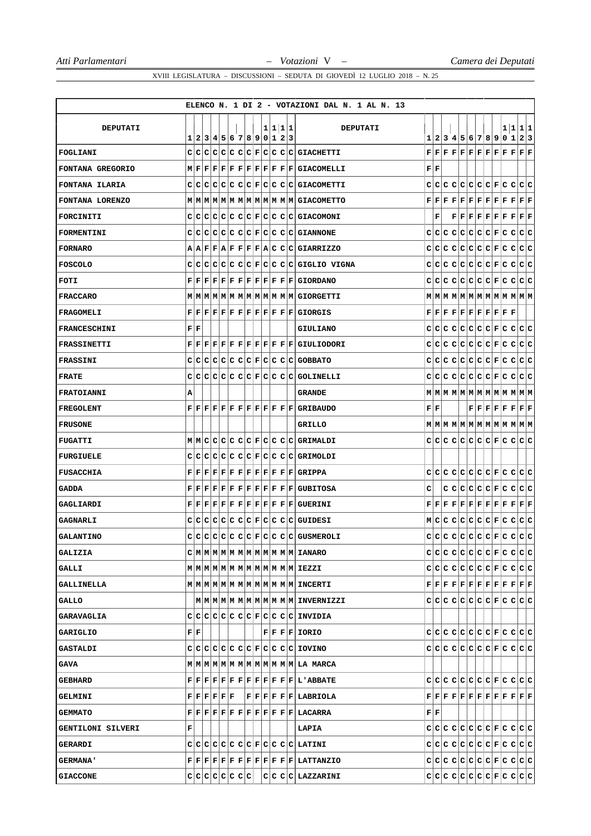|                     |              |  |  |                           |  |         |  | ELENCO N. 1 DI 2 - VOTAZIONI DAL N. 1 AL N. 13                                                                                                                                                                                                                                          |                           |   |  |  |                                                                                                                                                                                                            |  |                                                                                                                                                                                                                                                                                                                                                                                               |
|---------------------|--------------|--|--|---------------------------|--|---------|--|-----------------------------------------------------------------------------------------------------------------------------------------------------------------------------------------------------------------------------------------------------------------------------------------|---------------------------|---|--|--|------------------------------------------------------------------------------------------------------------------------------------------------------------------------------------------------------------|--|-----------------------------------------------------------------------------------------------------------------------------------------------------------------------------------------------------------------------------------------------------------------------------------------------------------------------------------------------------------------------------------------------|
| <b>DEPUTATI</b>     |              |  |  |                           |  | 1 1 1 1 |  | <b>DEPUTATI</b>                                                                                                                                                                                                                                                                         |                           |   |  |  |                                                                                                                                                                                                            |  | 1 1 1 1                                                                                                                                                                                                                                                                                                                                                                                       |
|                     |              |  |  | 1 2 3 4 5 6 7 8 9 0 1 2 3 |  |         |  |                                                                                                                                                                                                                                                                                         |                           |   |  |  |                                                                                                                                                                                                            |  | 1 2 3 4 5 6 7 8 9 0 1 2 3                                                                                                                                                                                                                                                                                                                                                                     |
| FOGLIANI            |              |  |  |                           |  |         |  | $C C C C C C C F C C C C G GLCHETTI$                                                                                                                                                                                                                                                    |                           |   |  |  |                                                                                                                                                                                                            |  | $\mathbf{F} \,   \, \mathbf{F} \,   \, \mathbf{F} \,   \, \mathbf{F} \,   \, \mathbf{F} \,   \, \mathbf{F} \,   \, \mathbf{F} \,   \, \mathbf{F} \,   \, \mathbf{F} \,   \, \mathbf{F} \,   \, \mathbf{F} \,   \, \mathbf{F} \,   \, \mathbf{F} \,   \, \mathbf{F} \,   \, \mathbf{F} \,   \, \mathbf{F} \,   \, \mathbf{F} \,   \, \mathbf{F} \,   \, \mathbf{F} \,   \, \mathbf{F} \,   \,$ |
| FONTANA GREGORIO    |              |  |  |                           |  |         |  | $\texttt{M}   \texttt{F}   \texttt{F}   \texttt{F}   \texttt{F}   \texttt{F}   \texttt{F}   \texttt{F}   \texttt{F}   \texttt{F}   \texttt{F}   \texttt{GIACOMETLLI}$                                                                                                                   | ${\bf F} \,   \, {\bf F}$ |   |  |  |                                                                                                                                                                                                            |  |                                                                                                                                                                                                                                                                                                                                                                                               |
| FONTANA ILARIA      |              |  |  |                           |  |         |  | $C C C C C C C F C C C C G1ACOMETRYI$                                                                                                                                                                                                                                                   |                           |   |  |  |                                                                                                                                                                                                            |  |                                                                                                                                                                                                                                                                                                                                                                                               |
| FONTANA LORENZO     |              |  |  |                           |  |         |  |                                                                                                                                                                                                                                                                                         |                           |   |  |  |                                                                                                                                                                                                            |  | ${\bf F}[{\bf F}[{\bf F}] {\bf F}[{\bf F}] {\bf F}[{\bf F}] {\bf F}[{\bf F}] {\bf F}[{\bf F}] {\bf F}]$                                                                                                                                                                                                                                                                                       |
| FORCINITI           |              |  |  |                           |  |         |  | $C C C C C C C F C C C C G GIACOMONI$                                                                                                                                                                                                                                                   |                           | F |  |  |                                                                                                                                                                                                            |  | $\mathbf{F} \,   \, \mathbf{F} \,   \, \mathbf{F} \,   \, \mathbf{F} \,   \, \mathbf{F} \,   \, \mathbf{F} \,   \, \mathbf{F} \,   \, \mathbf{F} \,   \, \mathbf{F} \,$                                                                                                                                                                                                                       |
| <b>FORMENTINI</b>   |              |  |  |                           |  |         |  | $C C C C C C C F C C C C G GIANNONE$                                                                                                                                                                                                                                                    |                           |   |  |  |                                                                                                                                                                                                            |  |                                                                                                                                                                                                                                                                                                                                                                                               |
| <b>FORNARO</b>      |              |  |  |                           |  |         |  | A A F F A F F F F A C C C GIARRIZZO                                                                                                                                                                                                                                                     |                           |   |  |  |                                                                                                                                                                                                            |  |                                                                                                                                                                                                                                                                                                                                                                                               |
| FOSCOLO             |              |  |  |                           |  |         |  | $C C C C C C C F C C C C G$ GIGLIO VIGNA                                                                                                                                                                                                                                                |                           |   |  |  |                                                                                                                                                                                                            |  |                                                                                                                                                                                                                                                                                                                                                                                               |
| FOTI                |              |  |  |                           |  |         |  | $\mathbf{F} \,   \, \mathbf{F} \,   \, \mathbf{F} \,   \, \mathbf{F} \,   \, \mathbf{F} \,   \, \mathbf{F} \,   \, \mathbf{F} \,   \, \mathbf{F} \,   \, \mathbf{F} \,   \, \mathbf{F} \,   \, \mathbf{G}$ I GLORDANO                                                                   |                           |   |  |  |                                                                                                                                                                                                            |  |                                                                                                                                                                                                                                                                                                                                                                                               |
| <b>FRACCARO</b>     |              |  |  |                           |  |         |  | MMMMMMMMMMMMMMMGIORGETTI                                                                                                                                                                                                                                                                |                           |   |  |  |                                                                                                                                                                                                            |  | $M$   $M$   $M$   $M$   $M$   $M$   $M$   $M$   $M$   $M$   $M$   $M$                                                                                                                                                                                                                                                                                                                         |
| <b>FRAGOMELI</b>    |              |  |  |                           |  |         |  | $\mathbf{F} \,   \, \mathbf{F} \,   \, \mathbf{F} \,   \, \mathbf{F} \,   \, \mathbf{F} \,   \, \mathbf{F} \,   \, \mathbf{F} \,   \, \mathbf{F} \,   \, \mathbf{F} \,   \, \mathbf{F} \,   \, \mathbf{G} \, \text{I} \, \text{O} \, \text{R} \, \text{GIS}$                            |                           |   |  |  | $\mathbf{F} \,   \, \mathbf{F} \,   \, \mathbf{F} \,   \, \mathbf{F} \,   \, \mathbf{F} \,   \, \mathbf{F} \,   \, \mathbf{F} \,   \, \mathbf{F} \,   \, \mathbf{F} \,   \, \mathbf{F} \,   \, \mathbf{F}$ |  |                                                                                                                                                                                                                                                                                                                                                                                               |
| <b>FRANCESCHINI</b> | FF           |  |  |                           |  |         |  | <b>GIULIANO</b>                                                                                                                                                                                                                                                                         |                           |   |  |  |                                                                                                                                                                                                            |  |                                                                                                                                                                                                                                                                                                                                                                                               |
| <b>FRASSINETTI</b>  |              |  |  |                           |  |         |  | $\mathbf{F} \,   \, \mathbf{F} \,   \, \mathbf{F} \,   \, \mathbf{F} \,   \, \mathbf{F} \,   \, \mathbf{F} \,   \, \mathbf{F} \,   \, \mathbf{F} \,   \, \mathbf{F} \,   \, \mathbf{F} \,   \, \mathbf{G}$ TULL CODORI                                                                  |                           |   |  |  |                                                                                                                                                                                                            |  |                                                                                                                                                                                                                                                                                                                                                                                               |
| <b>FRASSINI</b>     |              |  |  |                           |  |         |  | $C C C C C C C F C C C C G0BBATO$                                                                                                                                                                                                                                                       |                           |   |  |  |                                                                                                                                                                                                            |  |                                                                                                                                                                                                                                                                                                                                                                                               |
| <b>FRATE</b>        | c            |  |  |                           |  |         |  | $C C C C C C F C C C C G GLLNELLI$                                                                                                                                                                                                                                                      |                           |   |  |  |                                                                                                                                                                                                            |  |                                                                                                                                                                                                                                                                                                                                                                                               |
| <b>FRATOIANNI</b>   | А            |  |  |                           |  |         |  | <b>GRANDE</b>                                                                                                                                                                                                                                                                           |                           |   |  |  |                                                                                                                                                                                                            |  |                                                                                                                                                                                                                                                                                                                                                                                               |
| <b>FREGOLENT</b>    |              |  |  |                           |  |         |  | $\mathbf{F} \,   \, \mathbf{F} \,   \, \mathbf{F} \,   \, \mathbf{F} \,   \, \mathbf{F} \,   \, \mathbf{F} \,   \, \mathbf{F} \,   \, \mathbf{F} \,   \, \mathbf{F} \,   \, \mathbf{F} \,   \, \mathbf{F} \,   \, \mathbf{GRLBAUDO}$                                                    | FF                        |   |  |  |                                                                                                                                                                                                            |  | $\mathbf{F} \,   \, \mathbf{F} \,   \, \mathbf{F} \,   \, \mathbf{F} \,   \, \mathbf{F} \,   \, \mathbf{F} \,   \, \mathbf{F} \,   \, \mathbf{F}$                                                                                                                                                                                                                                             |
| <b>FRUSONE</b>      |              |  |  |                           |  |         |  | <b>GRILLO</b>                                                                                                                                                                                                                                                                           |                           |   |  |  |                                                                                                                                                                                                            |  |                                                                                                                                                                                                                                                                                                                                                                                               |
| <b>FUGATTI</b>      |              |  |  |                           |  |         |  | MMCCCCCCCFCCCCCCCCA                                                                                                                                                                                                                                                                     |                           |   |  |  |                                                                                                                                                                                                            |  |                                                                                                                                                                                                                                                                                                                                                                                               |
| <b>FURGIUELE</b>    |              |  |  |                           |  |         |  | $C C C C C C C F C C C C G $                                                                                                                                                                                                                                                            |                           |   |  |  |                                                                                                                                                                                                            |  |                                                                                                                                                                                                                                                                                                                                                                                               |
| <b>FUSACCHIA</b>    |              |  |  |                           |  |         |  | $\mathbf{F} \,   \, \mathbf{F} \,   \, \mathbf{F} \,   \, \mathbf{F} \,   \, \mathbf{F} \,   \, \mathbf{F} \,   \, \mathbf{F} \,   \, \mathbf{F} \,   \, \mathbf{F} \,   \, \mathbf{F} \,   \, \mathbf{F} \,   \, \mathbf{GRLPPA}$                                                      |                           |   |  |  |                                                                                                                                                                                                            |  |                                                                                                                                                                                                                                                                                                                                                                                               |
| <b>GADDA</b>        |              |  |  |                           |  |         |  | $\mathbf{F} \,   \, \mathbf{F} \,   \, \mathbf{F} \,   \, \mathbf{F} \,   \, \mathbf{F} \,   \, \mathbf{F} \,   \, \mathbf{F} \,   \, \mathbf{F} \,   \, \mathbf{F} \,   \, \mathbf{F} \,   \, \mathbf{G} \mathbf{U} \mathbf{B} \mathbf{I} \mathbf{T} \mathbf{O} \mathbf{S} \mathbf{A}$ | c                         |   |  |  |                                                                                                                                                                                                            |  | C C C C C F C C C C                                                                                                                                                                                                                                                                                                                                                                           |
| GAGLIARDI           |              |  |  |                           |  |         |  | $\mathbf{F} \,   \, \mathbf{F} \,   \, \mathbf{F} \,   \, \mathbf{F} \,   \, \mathbf{F} \,   \, \mathbf{F} \,   \, \mathbf{F} \,   \, \mathbf{F} \,   \, \mathbf{F} \,   \, \mathbf{F} \,   \, \mathbf{G} \mathbf{U} \mathbf{E} \mathbf{R} \, \mathbf{I} \mathbf{N} \, \mathbf{I}$      |                           |   |  |  |                                                                                                                                                                                                            |  | $\mathbf{F} \,   \, \mathbf{F} \,   \, \mathbf{F} \,   \, \mathbf{F} \,   \, \mathbf{F} \,   \, \mathbf{F} \,   \, \mathbf{F} \,   \, \mathbf{F} \,   \, \mathbf{F} \,   \, \mathbf{F} \,   \, \mathbf{F} \,   \, \mathbf{F} \,   \, \mathbf{F} \,   \, \mathbf{F} \,   \, \mathbf{F} \,   \, \mathbf{F} \,   \, \mathbf{F} \,   \, \mathbf{F} \,   \, \mathbf{F} \,   \, \mathbf{F} \,   \,$ |
| <b>GAGNARLI</b>     |              |  |  |                           |  |         |  | $C C C C C C C F C C C C GUDEST$                                                                                                                                                                                                                                                        |                           |   |  |  |                                                                                                                                                                                                            |  |                                                                                                                                                                                                                                                                                                                                                                                               |
| <b>GALANTINO</b>    | $\mathsf{C}$ |  |  |                           |  |         |  | $\big \mathbf{C}\big \mathbf{C}\big \mathbf{C}\big \mathbf{C}\big \mathbf{C}\big \mathbf{C}\big \mathbf{F}\big \mathbf{C}\big \mathbf{C}\big \mathbf{C}\big \mathbf{C}\big $ GUSMEROLI                                                                                                  |                           |   |  |  |                                                                                                                                                                                                            |  |                                                                                                                                                                                                                                                                                                                                                                                               |
| <b>GALIZIA</b>      |              |  |  |                           |  |         |  | $C M M M M M M M M M M M M M $ IANARO                                                                                                                                                                                                                                                   |                           |   |  |  |                                                                                                                                                                                                            |  |                                                                                                                                                                                                                                                                                                                                                                                               |
| <b>GALLI</b>        |              |  |  |                           |  |         |  |                                                                                                                                                                                                                                                                                         |                           |   |  |  |                                                                                                                                                                                                            |  |                                                                                                                                                                                                                                                                                                                                                                                               |
| GALLINELLA          |              |  |  |                           |  |         |  |                                                                                                                                                                                                                                                                                         |                           |   |  |  |                                                                                                                                                                                                            |  | $\mathbf{F} \,   \, \mathbf{F} \,   \, \mathbf{F} \,   \, \mathbf{F} \,   \, \mathbf{F} \,   \, \mathbf{F} \,   \, \mathbf{F} \,   \, \mathbf{F} \,   \, \mathbf{F} \,   \, \mathbf{F} \,   \, \mathbf{F} \,   \, \mathbf{F} \,$                                                                                                                                                              |
| <b>GALLO</b>        |              |  |  |                           |  |         |  |                                                                                                                                                                                                                                                                                         |                           |   |  |  |                                                                                                                                                                                                            |  |                                                                                                                                                                                                                                                                                                                                                                                               |
| <b>GARAVAGLIA</b>   |              |  |  |                           |  |         |  | $c c c c c c c F c c c c I$ invidia                                                                                                                                                                                                                                                     |                           |   |  |  |                                                                                                                                                                                                            |  |                                                                                                                                                                                                                                                                                                                                                                                               |
| <b>GARIGLIO</b>     | FF           |  |  |                           |  |         |  | $ F F F F $ IORIO                                                                                                                                                                                                                                                                       |                           |   |  |  |                                                                                                                                                                                                            |  |                                                                                                                                                                                                                                                                                                                                                                                               |
| GASTALDI            |              |  |  |                           |  |         |  | $c c c c c c c c c c c c c c c w}$                                                                                                                                                                                                                                                      |                           |   |  |  |                                                                                                                                                                                                            |  |                                                                                                                                                                                                                                                                                                                                                                                               |
| GAVA                |              |  |  |                           |  |         |  |                                                                                                                                                                                                                                                                                         |                           |   |  |  |                                                                                                                                                                                                            |  |                                                                                                                                                                                                                                                                                                                                                                                               |
| <b>GEBHARD</b>      |              |  |  |                           |  |         |  | $\mathbf{F} \,   \, \mathbf{F} \,   \, \mathbf{F} \,   \, \mathbf{F} \,   \, \mathbf{F} \,   \, \mathbf{F} \,   \, \mathbf{F} \,   \, \mathbf{F} \,   \, \mathbf{F} \,   \, \mathbf{F} \,   \, \mathbf{F} \,   \, \mathbf{L} \,  $ ABBATE                                               |                           |   |  |  |                                                                                                                                                                                                            |  | $C C C C C C C F C C C C C C $                                                                                                                                                                                                                                                                                                                                                                |
| <b>GELMINI</b>      |              |  |  |                           |  |         |  | $\mathbf{F}   \mathbf{F}   \mathbf{F}   \mathbf{F}   \mathbf{F}   \mathbf{F}  $                                                                                                                                                                                                         |                           |   |  |  |                                                                                                                                                                                                            |  | $\mathbf{F} \,   \, \mathbf{F} \,   \, \mathbf{F} \,   \, \mathbf{F} \,   \, \mathbf{F} \,   \, \mathbf{F} \,   \, \mathbf{F} \,   \, \mathbf{F} \,   \, \mathbf{F} \,   \, \mathbf{F} \,   \, \mathbf{F} \,   \, \mathbf{F} \,   \, \mathbf{F} \,$                                                                                                                                           |
| <b>GEMMATO</b>      |              |  |  |                           |  |         |  | $\mathbf{F} \,   \, \mathbf{F} \,   \, \mathbf{F} \,   \, \mathbf{F} \,   \, \mathbf{F} \,   \, \mathbf{F} \,   \, \mathbf{F} \,   \, \mathbf{F} \,   \, \mathbf{F} \,   \, \mathbf{F} \,   \, \mathbf{LACARRA}$                                                                        | FF                        |   |  |  |                                                                                                                                                                                                            |  |                                                                                                                                                                                                                                                                                                                                                                                               |
| GENTILONI SILVERI   | г            |  |  |                           |  |         |  | LAPIA                                                                                                                                                                                                                                                                                   |                           |   |  |  |                                                                                                                                                                                                            |  |                                                                                                                                                                                                                                                                                                                                                                                               |
| GERARDI             |              |  |  |                           |  |         |  | $C C C C C C C F C C C C LATINI$                                                                                                                                                                                                                                                        |                           |   |  |  |                                                                                                                                                                                                            |  |                                                                                                                                                                                                                                                                                                                                                                                               |
| <b>GERMANA'</b>     |              |  |  |                           |  |         |  | $F F F F F F F F F F F F F F LATTANZIO$                                                                                                                                                                                                                                                 |                           |   |  |  |                                                                                                                                                                                                            |  |                                                                                                                                                                                                                                                                                                                                                                                               |
| <b>GIACCONE</b>     |              |  |  |                           |  |         |  | $c c c c c c c c c c c c c $ Lazzarini                                                                                                                                                                                                                                                  |                           |   |  |  |                                                                                                                                                                                                            |  |                                                                                                                                                                                                                                                                                                                                                                                               |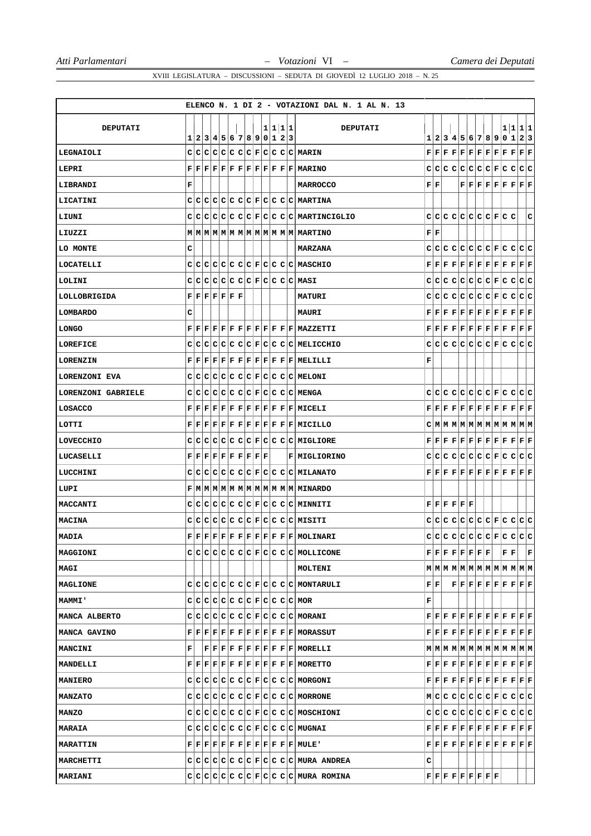|                    |                                                                                                                                                                                         |                         |  |  |  |  |         | ELENCO N. 1 DI 2 - VOTAZIONI DAL N. 1 AL N. 13                                                                                                                                                                                                                                                                                                                                                            |                           |    |  |                                                                                                             |                                                                                                                                                                      |  |     |                                                                                                                                                                                                                                                                                                                                                                                                                                 |
|--------------------|-----------------------------------------------------------------------------------------------------------------------------------------------------------------------------------------|-------------------------|--|--|--|--|---------|-----------------------------------------------------------------------------------------------------------------------------------------------------------------------------------------------------------------------------------------------------------------------------------------------------------------------------------------------------------------------------------------------------------|---------------------------|----|--|-------------------------------------------------------------------------------------------------------------|----------------------------------------------------------------------------------------------------------------------------------------------------------------------|--|-----|---------------------------------------------------------------------------------------------------------------------------------------------------------------------------------------------------------------------------------------------------------------------------------------------------------------------------------------------------------------------------------------------------------------------------------|
| <b>DEPUTATI</b>    |                                                                                                                                                                                         |                         |  |  |  |  | 1 1 1 1 | <b>DEPUTATI</b>                                                                                                                                                                                                                                                                                                                                                                                           |                           |    |  |                                                                                                             |                                                                                                                                                                      |  | 1 1 | 1 1                                                                                                                                                                                                                                                                                                                                                                                                                             |
|                    | 11                                                                                                                                                                                      | 2 3 4 5 6 7 8 9 0 1 2 3 |  |  |  |  |         |                                                                                                                                                                                                                                                                                                                                                                                                           |                           |    |  |                                                                                                             |                                                                                                                                                                      |  |     | 1 2 3 4 5 6 7 8 9 0 1 2 3                                                                                                                                                                                                                                                                                                                                                                                                       |
| LEGNAIOLI          |                                                                                                                                                                                         |                         |  |  |  |  |         | $C C C C C C C F C C C C MARIN$                                                                                                                                                                                                                                                                                                                                                                           |                           |    |  |                                                                                                             |                                                                                                                                                                      |  |     | $\mathbf{F} \,   \, \mathbf{F} \,   \, \mathbf{F} \,   \, \mathbf{F} \,   \, \mathbf{F} \,   \, \mathbf{F} \,   \, \mathbf{F} \,   \, \mathbf{F} \,   \, \mathbf{F} \,   \, \mathbf{F} \,   \, \mathbf{F} \,   \, \mathbf{F} \,$                                                                                                                                                                                                |
| LEPRI              |                                                                                                                                                                                         |                         |  |  |  |  |         | $\mathbf{F} \,   \, \mathbf{F} \,   \, \mathbf{F} \,   \, \mathbf{F} \,   \, \mathbf{F} \,   \, \mathbf{F} \,   \, \mathbf{F} \,   \, \mathbf{F} \,   \, \mathbf{F} \,   \, \mathbf{F} \,   \, \mathbf{F} \,   \, \mathbf{MARTNO}$                                                                                                                                                                        |                           |    |  |                                                                                                             |                                                                                                                                                                      |  |     |                                                                                                                                                                                                                                                                                                                                                                                                                                 |
| LIBRANDI           | F                                                                                                                                                                                       |                         |  |  |  |  |         | <b>MARROCCO</b>                                                                                                                                                                                                                                                                                                                                                                                           | ${\bf F} \,   \, {\bf F}$ |    |  |                                                                                                             |                                                                                                                                                                      |  |     | $\mathbf{F} \,   \, \mathbf{F} \,   \, \mathbf{F} \,   \, \mathbf{F} \,   \, \mathbf{F} \,   \, \mathbf{F} \,   \, \mathbf{F} \,   \, \mathbf{F} \,   \, \mathbf{F}$                                                                                                                                                                                                                                                            |
| LICATINI           |                                                                                                                                                                                         |                         |  |  |  |  |         | $C C C C C C C F C C C C MARTINA$                                                                                                                                                                                                                                                                                                                                                                         |                           |    |  |                                                                                                             |                                                                                                                                                                      |  |     |                                                                                                                                                                                                                                                                                                                                                                                                                                 |
| LIUNI              |                                                                                                                                                                                         |                         |  |  |  |  |         | $C C C C C C C F C C C C MARTINCIGLIO$                                                                                                                                                                                                                                                                                                                                                                    |                           |    |  |                                                                                                             | $C[C[C]C[C]C[E]E[C]C$                                                                                                                                                |  |     | с                                                                                                                                                                                                                                                                                                                                                                                                                               |
| LIUZZI             |                                                                                                                                                                                         |                         |  |  |  |  |         |                                                                                                                                                                                                                                                                                                                                                                                                           | ${\bf F} \,   \, {\bf F}$ |    |  |                                                                                                             |                                                                                                                                                                      |  |     |                                                                                                                                                                                                                                                                                                                                                                                                                                 |
| LO MONTE           | c                                                                                                                                                                                       |                         |  |  |  |  |         | MARZANA                                                                                                                                                                                                                                                                                                                                                                                                   |                           |    |  |                                                                                                             |                                                                                                                                                                      |  |     | didididididididididid                                                                                                                                                                                                                                                                                                                                                                                                           |
| LOCATELLI          |                                                                                                                                                                                         |                         |  |  |  |  |         | $C C C C C C C F C C C C MAXCHIO$                                                                                                                                                                                                                                                                                                                                                                         |                           |    |  |                                                                                                             |                                                                                                                                                                      |  |     | $\mathbf{F} \,   \, \mathbf{F} \,   \, \mathbf{F} \,   \, \mathbf{F} \,   \, \mathbf{F} \,   \, \mathbf{F} \,   \, \mathbf{F} \,   \, \mathbf{F} \,   \, \mathbf{F} \,   \, \mathbf{F} \,   \, \mathbf{F} \,   \, \mathbf{F} \,   \, \mathbf{F}$                                                                                                                                                                                |
| LOLINI             |                                                                                                                                                                                         |                         |  |  |  |  |         | $C C C C C C C F C C C C MAXI$                                                                                                                                                                                                                                                                                                                                                                            |                           |    |  |                                                                                                             |                                                                                                                                                                      |  |     |                                                                                                                                                                                                                                                                                                                                                                                                                                 |
| LOLLOBRIGIDA       | $\mathbf{F} \,   \, \mathbf{F} \,   \, \mathbf{F} \,   \, \mathbf{F} \,   \, \mathbf{F} \,   \, \mathbf{F} \,   \, \mathbf{F}$                                                          |                         |  |  |  |  |         | <b>MATURI</b>                                                                                                                                                                                                                                                                                                                                                                                             |                           |    |  |                                                                                                             |                                                                                                                                                                      |  |     | C C C C C C C F C C C C                                                                                                                                                                                                                                                                                                                                                                                                         |
| <b>LOMBARDO</b>    | с                                                                                                                                                                                       |                         |  |  |  |  |         | <b>MAURI</b>                                                                                                                                                                                                                                                                                                                                                                                              |                           |    |  |                                                                                                             |                                                                                                                                                                      |  |     | ${\bf F}[{\bf F}[{\bf F}] {\bf F}] {\bf F}[{\bf F}] {\bf F}[{\bf F}] {\bf F}[{\bf F}] {\bf F}[{\bf F}] {\bf F}]$                                                                                                                                                                                                                                                                                                                |
| <b>LONGO</b>       |                                                                                                                                                                                         |                         |  |  |  |  |         | $\mathbf{F} \,   \, \mathbf{F} \,   \, \mathbf{F} \,   \, \mathbf{F} \,   \, \mathbf{F} \,   \, \mathbf{F} \,   \, \mathbf{F} \,   \, \mathbf{F} \,   \, \mathbf{F} \,   \, \mathbf{F} \,   \, \mathbf{F} \,   \, \mathbf{M}$ MAZZETTI                                                                                                                                                                    |                           |    |  |                                                                                                             |                                                                                                                                                                      |  |     | $\mathbf{F}\, \,\mathbf{F}\, \,\mathbf{F}\, \,\mathbf{F}\, \,\mathbf{F}\, \,\mathbf{F}\, \,\mathbf{F}\, \,\mathbf{F}\, \,\mathbf{F}\, \,\mathbf{F}\, \,\mathbf{F}\, \,\mathbf{F}\, \,\mathbf{F}\, \,\mathbf{F}\, \,\mathbf{F}\, \,\mathbf{F}\, \,\mathbf{F}\, \,\mathbf{F}\, \,\mathbf{F}\, \,\mathbf{F}\, \,\mathbf{F}\, \,\mathbf{F}\, \,\mathbf{F}\, \,\mathbf{F}\, \,\mathbf{F}\, \,\mathbf{F}\, \,\mathbf{F}\, \,\mathbf{$ |
| LOREFICE           |                                                                                                                                                                                         |                         |  |  |  |  |         | $C C C C C C C F C C C C MELLCCHIO$                                                                                                                                                                                                                                                                                                                                                                       |                           |    |  |                                                                                                             |                                                                                                                                                                      |  |     |                                                                                                                                                                                                                                                                                                                                                                                                                                 |
| <b>LORENZIN</b>    |                                                                                                                                                                                         |                         |  |  |  |  |         | ${\bf F} \,   \, {\bf F} \,   \, {\bf F} \,   \, {\bf F} \,   \, {\bf F} \,   \, {\bf F} \,   \, {\bf F} \,   \, {\bf F} \,   \, {\bf F} \,   \, {\bf F} \,   \, {\bf F} \,   \, {\bf F} \,   \, {\bf F} \,   \, {\bf F} \,   \, {\bf F} \,   \, {\bf F} \,   \, {\bf F} \,   \, {\bf F} \,   \, {\bf F} \,   \, {\bf F} \,   \, {\bf F} \,   \, {\bf F} \,   \, {\bf F} \,   \, {\bf F} \,   \, {\bf F}$ | F                         |    |  |                                                                                                             |                                                                                                                                                                      |  |     |                                                                                                                                                                                                                                                                                                                                                                                                                                 |
| LORENZONI EVA      |                                                                                                                                                                                         |                         |  |  |  |  |         | CCCCCCCCCCFCCCCMELONI                                                                                                                                                                                                                                                                                                                                                                                     |                           |    |  |                                                                                                             |                                                                                                                                                                      |  |     |                                                                                                                                                                                                                                                                                                                                                                                                                                 |
| LORENZONI GABRIELE |                                                                                                                                                                                         |                         |  |  |  |  |         | $C C C C C C C F C C C C MENGA$                                                                                                                                                                                                                                                                                                                                                                           |                           |    |  |                                                                                                             |                                                                                                                                                                      |  |     |                                                                                                                                                                                                                                                                                                                                                                                                                                 |
| LOSACCO            |                                                                                                                                                                                         |                         |  |  |  |  |         | $\mathbf{F} \,   \, \mathbf{F} \,   \, \mathbf{F} \,   \, \mathbf{F} \,   \, \mathbf{F} \,   \, \mathbf{F} \,   \, \mathbf{F} \,   \, \mathbf{F} \,   \, \mathbf{F} \,   \, \mathbf{F} \,   \, \mathbf{F} \,   \, \mathbf{MICELL}$                                                                                                                                                                        |                           |    |  |                                                                                                             |                                                                                                                                                                      |  |     | $\mathbf{F} \,   \, \mathbf{F} \,   \, \mathbf{F} \,   \, \mathbf{F} \,   \, \mathbf{F} \,   \, \mathbf{F} \,   \, \mathbf{F} \,   \, \mathbf{F} \,   \, \mathbf{F} \,   \, \mathbf{F} \,   \, \mathbf{F} \,   \, \mathbf{F} \,   \, \mathbf{F}$                                                                                                                                                                                |
| LOTTI              |                                                                                                                                                                                         |                         |  |  |  |  |         | $\mathbf{F} \,   \, \mathbf{F} \,   \, \mathbf{F} \,   \, \mathbf{F} \,   \, \mathbf{F} \,   \, \mathbf{F} \,   \, \mathbf{F} \,   \, \mathbf{F} \,   \, \mathbf{F} \,   \, \mathbf{F} \,   \, \mathbf{F} \,   \, \mathbf{MICILLO}$                                                                                                                                                                       |                           |    |  |                                                                                                             |                                                                                                                                                                      |  |     | C M M M M M M M M M M M M M                                                                                                                                                                                                                                                                                                                                                                                                     |
| LOVECCHIO          |                                                                                                                                                                                         |                         |  |  |  |  |         | $C C C C C C C F C C C C MIGLIORE$                                                                                                                                                                                                                                                                                                                                                                        |                           |    |  |                                                                                                             |                                                                                                                                                                      |  |     | $\mathbf{F} \,   \, \mathbf{F} \,   \, \mathbf{F} \,   \, \mathbf{F} \,   \, \mathbf{F} \,   \, \mathbf{F} \,   \, \mathbf{F} \,   \, \mathbf{F} \,   \, \mathbf{F} \,   \, \mathbf{F} \,   \, \mathbf{F} \,   \, \mathbf{F} \,   \, \mathbf{F}$                                                                                                                                                                                |
| LUCASELLI          | $\mathbf{F} \,   \, \mathbf{F} \,   \, \mathbf{F} \,   \, \mathbf{F} \,   \, \mathbf{F} \,   \, \mathbf{F} \,   \, \mathbf{F} \,   \, \mathbf{F} \,   \, \mathbf{F} \,   \, \mathbf{F}$ |                         |  |  |  |  |         | F MIGLIORINO                                                                                                                                                                                                                                                                                                                                                                                              |                           |    |  |                                                                                                             |                                                                                                                                                                      |  |     |                                                                                                                                                                                                                                                                                                                                                                                                                                 |
| LUCCHINI           |                                                                                                                                                                                         |                         |  |  |  |  |         | $c c c c c c c F c c c c MILANATO$                                                                                                                                                                                                                                                                                                                                                                        |                           |    |  |                                                                                                             |                                                                                                                                                                      |  |     |                                                                                                                                                                                                                                                                                                                                                                                                                                 |
| LUPI               |                                                                                                                                                                                         |                         |  |  |  |  |         | F M M M M M M M M M M M M M M M                                                                                                                                                                                                                                                                                                                                                                           |                           |    |  |                                                                                                             |                                                                                                                                                                      |  |     |                                                                                                                                                                                                                                                                                                                                                                                                                                 |
| MACCANTI           |                                                                                                                                                                                         |                         |  |  |  |  |         | $C C C C C C C F C C C C MINNITI$                                                                                                                                                                                                                                                                                                                                                                         |                           |    |  | $\mathbf{F} \,   \, \mathbf{F} \,   \, \mathbf{F} \,   \, \mathbf{F} \,   \, \mathbf{F} \,   \, \mathbf{F}$ |                                                                                                                                                                      |  |     |                                                                                                                                                                                                                                                                                                                                                                                                                                 |
| MACINA             |                                                                                                                                                                                         |                         |  |  |  |  |         | $C C C C C C C F C C C C MISITI$                                                                                                                                                                                                                                                                                                                                                                          |                           |    |  |                                                                                                             |                                                                                                                                                                      |  |     | $C[C[C]C[C]C[C]F[C]C[C]C$                                                                                                                                                                                                                                                                                                                                                                                                       |
| MADIA              |                                                                                                                                                                                         |                         |  |  |  |  |         | $\mathbf{F} \mathbf{F} \mathbf{F} \mathbf{F} \mathbf{F} \mathbf{F} \mathbf{F} \mathbf{F} \mathbf{F} \mathbf{F} \mathbf{F} \mathbf{F} \mathbf{M}$ OLINARI                                                                                                                                                                                                                                                  |                           |    |  |                                                                                                             |                                                                                                                                                                      |  |     |                                                                                                                                                                                                                                                                                                                                                                                                                                 |
| MAGGIONI           |                                                                                                                                                                                         |                         |  |  |  |  |         | $c c c c c c c F c c c c $ Mollicone                                                                                                                                                                                                                                                                                                                                                                      |                           |    |  |                                                                                                             | $\mathbf{F} \,   \, \mathbf{F} \,   \, \mathbf{F} \,   \, \mathbf{F} \,   \, \mathbf{F} \,   \, \mathbf{F} \,   \, \mathbf{F} \,   \, \mathbf{F} \,   \,$            |  |     | $ F F $ $ F $                                                                                                                                                                                                                                                                                                                                                                                                                   |
| MAGI               |                                                                                                                                                                                         |                         |  |  |  |  |         | MOLTENI                                                                                                                                                                                                                                                                                                                                                                                                   |                           |    |  |                                                                                                             |                                                                                                                                                                      |  |     | $\texttt{M} \texttt{M} \texttt{M} \texttt{M} \texttt{M} \texttt{M} \texttt{M} \texttt{M} \texttt{M} \texttt{M} \texttt{M} \texttt{M} \texttt{M}$                                                                                                                                                                                                                                                                                |
| MAGLIONE           |                                                                                                                                                                                         |                         |  |  |  |  |         | $C C C C C C C F C C C C $ MONTARULI                                                                                                                                                                                                                                                                                                                                                                      |                           | FF |  |                                                                                                             |                                                                                                                                                                      |  |     | ${\bf F}[{\bf F}[{\bf F}] {\bf F}] {\bf F}[{\bf F}] {\bf F}[{\bf F}] {\bf F}[{\bf F}] {\bf F}$                                                                                                                                                                                                                                                                                                                                  |
| <b>MAMMI</b>       |                                                                                                                                                                                         |                         |  |  |  |  |         | $C C C C C C C F C C C C MOR$                                                                                                                                                                                                                                                                                                                                                                             | F                         |    |  |                                                                                                             |                                                                                                                                                                      |  |     |                                                                                                                                                                                                                                                                                                                                                                                                                                 |
| MANCA ALBERTO      |                                                                                                                                                                                         |                         |  |  |  |  |         | $C C C C C C C F C C C C MORANT$                                                                                                                                                                                                                                                                                                                                                                          |                           |    |  |                                                                                                             |                                                                                                                                                                      |  |     | $\mathbf{F} \,   \, \mathbf{F} \,   \, \mathbf{F} \,   \, \mathbf{F} \,   \, \mathbf{F} \,   \, \mathbf{F} \,   \, \mathbf{F} \,   \, \mathbf{F} \,   \, \mathbf{F} \,   \, \mathbf{F} \,   \, \mathbf{F} \,   \, \mathbf{F} \,   \, \mathbf{F} \,   \, \mathbf{F} \,   \, \mathbf{F} \,   \, \mathbf{F} \,   \, \mathbf{F} \,   \, \mathbf{F} \,   \, \mathbf{F} \,   \, \mathbf{F} \,   \,$                                   |
| MANCA GAVINO       |                                                                                                                                                                                         |                         |  |  |  |  |         | $F F F F F F F F F F F F F $ MORASSUT                                                                                                                                                                                                                                                                                                                                                                     |                           |    |  |                                                                                                             |                                                                                                                                                                      |  |     | ${\bf F}[{\bf F}[{\bf F}] {\bf F}[{\bf F}] {\bf F}[{\bf F}] {\bf F}[{\bf F}] {\bf F}[{\bf F}] {\bf F}[{\bf F}] {\bf F}]$                                                                                                                                                                                                                                                                                                        |
| MANCINI            | F                                                                                                                                                                                       |                         |  |  |  |  |         | $ F F F F F F F F F F F $ MORELLI                                                                                                                                                                                                                                                                                                                                                                         |                           |    |  |                                                                                                             |                                                                                                                                                                      |  |     | $\texttt{M} \mid \texttt{M} \mid \texttt{M} \mid \texttt{M} \mid \texttt{M} \mid \texttt{M} \mid \texttt{M} \mid \texttt{M} \mid \texttt{M} \mid \texttt{M} \mid \texttt{M} \mid \texttt{M}$                                                                                                                                                                                                                                    |
| <b>MANDELLI</b>    |                                                                                                                                                                                         |                         |  |  |  |  |         | $\mathbf{F} \, \, \mathbf{F} \, \, \mathbf{F} \, \, \mathbf{F} \, \, \mathbf{F} \, \, \mathbf{F} \, \, \mathbf{F} \, \, \mathbf{F} \, \, \mathbf{F} \, \, \mathbf{F} \, \, \mathbf{F} \, \, \mathbf{M} \mathsf{ORETTO}$                                                                                                                                                                                   |                           |    |  |                                                                                                             |                                                                                                                                                                      |  |     | $\mathbf{F} \,   \, \mathbf{F} \,   \, \mathbf{F} \,   \, \mathbf{F} \,   \, \mathbf{F} \,   \, \mathbf{F} \,   \, \mathbf{F} \,   \, \mathbf{F} \,   \, \mathbf{F} \,   \, \mathbf{F} \,   \, \mathbf{F} \,   \, \mathbf{F} \,   \, \mathbf{F} \,   \, \mathbf{F} \,   \, \mathbf{F} \,   \, \mathbf{F} \,   \, \mathbf{F} \,   \, \mathbf{F} \,   \, \mathbf{F} \,   \, \mathbf{F} \,   \,$                                   |
| <b>MANIERO</b>     |                                                                                                                                                                                         |                         |  |  |  |  |         | $C C C C C C C F C C C C MORGONI$                                                                                                                                                                                                                                                                                                                                                                         |                           |    |  |                                                                                                             |                                                                                                                                                                      |  |     | $\mathbf{F} \,   \, \mathbf{F} \,   \, \mathbf{F} \,   \, \mathbf{F} \,   \, \mathbf{F} \,   \, \mathbf{F} \,   \, \mathbf{F} \,   \, \mathbf{F} \,   \, \mathbf{F} \,   \, \mathbf{F} \,   \, \mathbf{F} \,   \, \mathbf{F} \,   \, \mathbf{F} \,   \, \mathbf{F} \,   \, \mathbf{F} \,   \, \mathbf{F} \,   \, \mathbf{F} \,   \, \mathbf{F} \,   \, \mathbf{F} \,   \, \mathbf{F} \,   \,$                                   |
| <b>MANZATO</b>     |                                                                                                                                                                                         |                         |  |  |  |  |         | $C C C C C C C F C C C C MORRONE$                                                                                                                                                                                                                                                                                                                                                                         |                           |    |  |                                                                                                             |                                                                                                                                                                      |  |     |                                                                                                                                                                                                                                                                                                                                                                                                                                 |
| <b>MANZO</b>       |                                                                                                                                                                                         |                         |  |  |  |  |         | C C C C C C C F C C C C MOSCHIONI                                                                                                                                                                                                                                                                                                                                                                         |                           |    |  |                                                                                                             |                                                                                                                                                                      |  |     |                                                                                                                                                                                                                                                                                                                                                                                                                                 |
| <b>MARAIA</b>      |                                                                                                                                                                                         |                         |  |  |  |  |         | $C C C C C C C F C C C C MUGNAI$                                                                                                                                                                                                                                                                                                                                                                          |                           |    |  |                                                                                                             |                                                                                                                                                                      |  |     | $\mathbf{F} \,   \, \mathbf{F} \,   \, \mathbf{F} \,   \, \mathbf{F} \,   \, \mathbf{F} \,   \, \mathbf{F} \,   \, \mathbf{F} \,   \, \mathbf{F} \,   \, \mathbf{F} \,   \, \mathbf{F} \,   \, \mathbf{F} \,   \, \mathbf{F} \,   \, \mathbf{F} \,$                                                                                                                                                                             |
| <b>MARATTIN</b>    |                                                                                                                                                                                         |                         |  |  |  |  |         | $\mathbf{F} \, \, \mathbf{F} \, \, \mathbf{F} \, \, \mathbf{F} \, \, \mathbf{F} \, \, \mathbf{F} \, \, \mathbf{F} \, \, \mathbf{F} \, \, \mathbf{F} \, \, \mathbf{F} \, \, \mathbf{F} \, \, \mathbf{F} \, \, \mathbf{NULE}$                                                                                                                                                                               |                           |    |  |                                                                                                             |                                                                                                                                                                      |  |     | $\mathbf{F} \,   \, \mathbf{F} \,   \, \mathbf{F} \,   \, \mathbf{F} \,   \, \mathbf{F} \,   \, \mathbf{F} \,   \, \mathbf{F} \,   \, \mathbf{F} \,   \, \mathbf{F} \,   \, \mathbf{F} \,   \, \mathbf{F} \,   \, \mathbf{F} \,   \, \mathbf{F} \,   \, \mathbf{F} \,   \, \mathbf{F} \,   \, \mathbf{F} \,   \, \mathbf{F} \,   \, \mathbf{F} \,   \, \mathbf{F} \,   \, \mathbf{F} \,   \,$                                   |
| MARCHETTI          |                                                                                                                                                                                         |                         |  |  |  |  |         | $C C C C C C C F C C C C $ MURA ANDREA                                                                                                                                                                                                                                                                                                                                                                    | с                         |    |  |                                                                                                             |                                                                                                                                                                      |  |     |                                                                                                                                                                                                                                                                                                                                                                                                                                 |
| <b>MARIANI</b>     |                                                                                                                                                                                         |                         |  |  |  |  |         | $c c c c c c c F c c c c $ mura romina                                                                                                                                                                                                                                                                                                                                                                    |                           |    |  |                                                                                                             | $\mathbf{F} \,   \, \mathbf{F} \,   \, \mathbf{F} \,   \, \mathbf{F} \,   \, \mathbf{F} \,   \, \mathbf{F} \,   \, \mathbf{F} \,   \, \mathbf{F} \,   \, \mathbf{F}$ |  |     |                                                                                                                                                                                                                                                                                                                                                                                                                                 |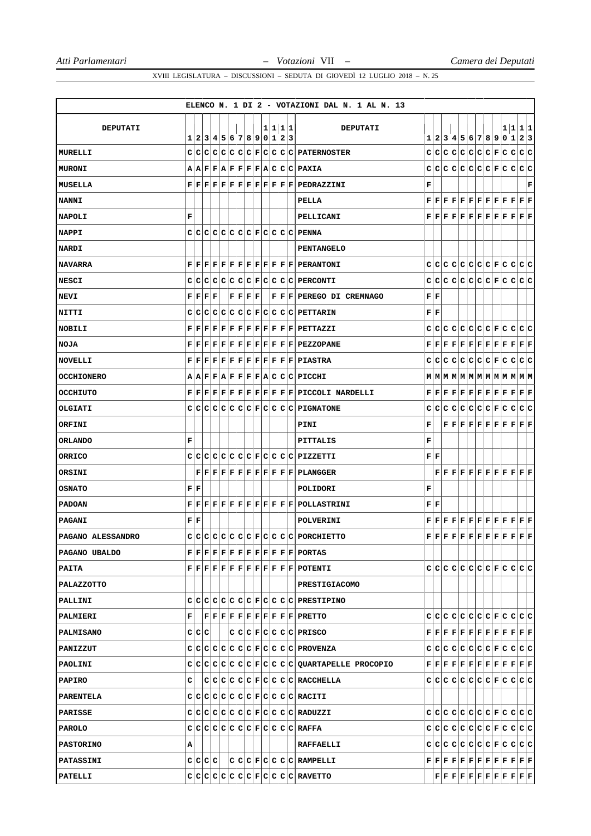|                   |                           |                           |                                                           |                         |                                                           |  |         |  | ELENCO N. 1 DI 2 - VOTAZIONI DAL N. 1 AL N. 13                                                                                                                                                                                                                                                                                                                                                            |                           |                           |  |                                                                                                                                                                                                                                                                                                                                                                                               |  |    |             |   |
|-------------------|---------------------------|---------------------------|-----------------------------------------------------------|-------------------------|-----------------------------------------------------------|--|---------|--|-----------------------------------------------------------------------------------------------------------------------------------------------------------------------------------------------------------------------------------------------------------------------------------------------------------------------------------------------------------------------------------------------------------|---------------------------|---------------------------|--|-----------------------------------------------------------------------------------------------------------------------------------------------------------------------------------------------------------------------------------------------------------------------------------------------------------------------------------------------------------------------------------------------|--|----|-------------|---|
|                   |                           |                           |                                                           |                         |                                                           |  |         |  |                                                                                                                                                                                                                                                                                                                                                                                                           |                           |                           |  |                                                                                                                                                                                                                                                                                                                                                                                               |  |    |             |   |
| <b>DEPUTATI</b>   | 11                        |                           |                                                           | 2 3 4 5 6 7 8 9 0 1 2 3 |                                                           |  | 1 1 1 1 |  | <b>DEPUTATI</b>                                                                                                                                                                                                                                                                                                                                                                                           |                           |                           |  | 1 2 3 4 5 6 7 8 9 0 1                                                                                                                                                                                                                                                                                                                                                                         |  | 11 | 1 1<br> 2 3 |   |
| MURELLI           |                           |                           |                                                           |                         |                                                           |  |         |  | C C C C C C C F C C C C PATERNOSTER                                                                                                                                                                                                                                                                                                                                                                       |                           |                           |  |                                                                                                                                                                                                                                                                                                                                                                                               |  |    |             |   |
| <b>MURONI</b>     |                           |                           |                                                           |                         |                                                           |  |         |  | A A F F A F F F F A C C C PAXIA                                                                                                                                                                                                                                                                                                                                                                           |                           |                           |  | C C C C C C C F C C C C                                                                                                                                                                                                                                                                                                                                                                       |  |    |             |   |
| MUSELLA           |                           |                           |                                                           |                         |                                                           |  |         |  | $\mathbf{F} \,   \, \mathbf{F} \,   \, \mathbf{F} \,   \, \mathbf{F} \,   \, \mathbf{F} \,   \, \mathbf{F} \,   \, \mathbf{F} \,   \, \mathbf{F} \,   \, \mathbf{F} \,   \, \mathbf{F} \,   \, \mathbf{F} \,   \, \mathbf{PEDRAZZINI}$                                                                                                                                                                    | F                         |                           |  |                                                                                                                                                                                                                                                                                                                                                                                               |  |    |             | F |
| <b>NANNI</b>      |                           |                           |                                                           |                         |                                                           |  |         |  | PELLA                                                                                                                                                                                                                                                                                                                                                                                                     |                           |                           |  | $\mathbf{F} \,   \, \mathbf{F} \,   \, \mathbf{F} \,   \, \mathbf{F} \,   \, \mathbf{F} \,   \, \mathbf{F} \,   \, \mathbf{F} \,   \, \mathbf{F} \,   \, \mathbf{F} \,   \, \mathbf{F} \,   \, \mathbf{F} \,   \, \mathbf{F} \,   \, \mathbf{F}$                                                                                                                                              |  |    |             |   |
| <b>NAPOLI</b>     | F                         |                           |                                                           |                         |                                                           |  |         |  | PELLICANI                                                                                                                                                                                                                                                                                                                                                                                                 |                           |                           |  |                                                                                                                                                                                                                                                                                                                                                                                               |  |    |             |   |
| <b>NAPPI</b>      |                           |                           |                                                           |                         |                                                           |  |         |  | CCCCCCCCCCFCCCCCPENNA                                                                                                                                                                                                                                                                                                                                                                                     |                           |                           |  |                                                                                                                                                                                                                                                                                                                                                                                               |  |    |             |   |
| <b>NARDI</b>      |                           |                           |                                                           |                         |                                                           |  |         |  | <b>PENTANGELO</b>                                                                                                                                                                                                                                                                                                                                                                                         |                           |                           |  |                                                                                                                                                                                                                                                                                                                                                                                               |  |    |             |   |
| <b>NAVARRA</b>    |                           |                           |                                                           |                         |                                                           |  |         |  | $\mathbf{F} \,   \, \mathbf{F} \,   \, \mathbf{F} \,   \, \mathbf{F} \,   \, \mathbf{F} \,   \, \mathbf{F} \,   \, \mathbf{F} \,   \, \mathbf{F} \,   \, \mathbf{F} \,   \, \mathbf{F} \,   \, \mathbf{F} \,   \, \mathbf{P} \mathbf{ERANTONI}$                                                                                                                                                           |                           |                           |  |                                                                                                                                                                                                                                                                                                                                                                                               |  |    |             |   |
| <b>NESCI</b>      |                           |                           |                                                           |                         |                                                           |  |         |  | $\texttt{C} \texttt{C} \texttt{C} \texttt{C} \texttt{C} \texttt{C} \texttt{F} \texttt{C} \texttt{C} \texttt{C} \texttt{C} \texttt{P} \texttt{ERCONTI}$                                                                                                                                                                                                                                                    |                           |                           |  |                                                                                                                                                                                                                                                                                                                                                                                               |  |    |             |   |
| NEVI              |                           |                           | ${\bf F} \,   \, {\bf F} \,   \, {\bf F} \,   \, {\bf F}$ |                         | ${\bf F} \,   \, {\bf F} \,   \, {\bf F} \,   \, {\bf F}$ |  |         |  | F F F PEREGO DI CREMNAGO                                                                                                                                                                                                                                                                                                                                                                                  |                           | FIF                       |  |                                                                                                                                                                                                                                                                                                                                                                                               |  |    |             |   |
| <b>NITTI</b>      | cı                        | c                         | с                                                         |                         |                                                           |  |         |  | $ C C C C F C C C C $ PETTARIN                                                                                                                                                                                                                                                                                                                                                                            |                           | ${\bf F} \,   \, {\bf F}$ |  |                                                                                                                                                                                                                                                                                                                                                                                               |  |    |             |   |
| <b>NOBILI</b>     |                           |                           |                                                           |                         |                                                           |  |         |  | $\mathbf{F} \,   \, \mathbf{F} \,   \, \mathbf{F} \,   \, \mathbf{F} \,   \, \mathbf{F} \,   \, \mathbf{F} \,   \, \mathbf{F} \,   \, \mathbf{F} \,   \, \mathbf{F} \,   \, \mathbf{F} \,   \, \mathbf{F} \,   \, \mathbf{F} \,   \, \mathbf{F} \, \mathbf{T}\mathbf{L}\mathbf{Z}\mathbf{Z}\mathbf{I}$                                                                                                    |                           |                           |  |                                                                                                                                                                                                                                                                                                                                                                                               |  |    |             |   |
| <b>NOJA</b>       |                           |                           |                                                           |                         |                                                           |  |         |  | $\mathbf{F} \,   \, \mathbf{F} \,   \, \mathbf{F} \,   \, \mathbf{F} \,   \, \mathbf{F} \,   \, \mathbf{F} \,   \, \mathbf{F} \,   \, \mathbf{F} \,   \, \mathbf{F} \,   \, \mathbf{F} \,   \, \mathbf{F} \,   \, \mathbf{P} \mathbf{EZ} \mathbf{Z} \mathbf{O} \mathbf{P} \mathbf{A} \mathbf{NE}$                                                                                                         |                           |                           |  |                                                                                                                                                                                                                                                                                                                                                                                               |  |    |             |   |
| <b>NOVELLI</b>    |                           |                           |                                                           |                         |                                                           |  |         |  | ${\bf F} \,   \, {\bf F} \,   \, {\bf F} \,   \, {\bf F} \,   \, {\bf F} \,   \, {\bf F} \,   \, {\bf F} \,   \, {\bf F} \,   \, {\bf F} \,   \, {\bf F} \,   \, {\bf F} \,   \, {\bf F} \,   \, {\bf F} \,   \, {\bf F} \,   \, {\bf F} \,   \, {\bf F} \,   \, {\bf F} \,   \, {\bf F} \,   \, {\bf F} \,   \, {\bf F} \,   \, {\bf F} \,   \, {\bf F} \,   \, {\bf F} \,   \, {\bf F} \,   \, {\bf F}$ |                           |                           |  | C C C C C C C F C C C C                                                                                                                                                                                                                                                                                                                                                                       |  |    |             |   |
| <b>OCCHIONERO</b> |                           |                           |                                                           |                         |                                                           |  |         |  | A A F F A F F F F A C C C PICCHI                                                                                                                                                                                                                                                                                                                                                                          |                           |                           |  | $M$   $M$   $M$   $M$   $M$   $M$   $M$   $M$   $M$   $M$   $M$   $M$                                                                                                                                                                                                                                                                                                                         |  |    |             |   |
| OCCHIUTO          |                           |                           |                                                           |                         |                                                           |  |         |  | $F F F F F F F F F F F F F P1CCOLI$ NARDELLI                                                                                                                                                                                                                                                                                                                                                              |                           |                           |  | $\mathbf{F} \,   \, \mathbf{F} \,   \, \mathbf{F} \,   \, \mathbf{F} \,   \, \mathbf{F} \,   \, \mathbf{F} \,   \, \mathbf{F} \,   \, \mathbf{F} \,   \, \mathbf{F} \,   \, \mathbf{F} \,   \, \mathbf{F} \,   \, \mathbf{F} \,   \, \mathbf{F}$                                                                                                                                              |  |    |             |   |
| OLGIATI           |                           | cici                      |                                                           |                         |                                                           |  |         |  | C C C C C F C C C C FIGNATIONE                                                                                                                                                                                                                                                                                                                                                                            |                           |                           |  | C C C C C C C F C C C C                                                                                                                                                                                                                                                                                                                                                                       |  |    |             |   |
| ORFINI            |                           |                           |                                                           |                         |                                                           |  |         |  | PINI                                                                                                                                                                                                                                                                                                                                                                                                      | F                         |                           |  | $\mathbf{F} \,   \, \mathbf{F} \,   \, \mathbf{F} \,   \, \mathbf{F} \,   \, \mathbf{F} \,   \, \mathbf{F} \,   \, \mathbf{F} \,   \, \mathbf{F} \,   \, \mathbf{F} \,   \, \mathbf{F} \,   \, \mathbf{F}$                                                                                                                                                                                    |  |    |             |   |
| <b>ORLANDO</b>    | F                         |                           |                                                           |                         |                                                           |  |         |  | PITTALIS                                                                                                                                                                                                                                                                                                                                                                                                  | F                         |                           |  |                                                                                                                                                                                                                                                                                                                                                                                               |  |    |             |   |
| ORRICO            |                           | C C                       |                                                           |                         |                                                           |  |         |  | C C C C C F C C C C PIZZETTI                                                                                                                                                                                                                                                                                                                                                                              |                           | ${\bf F} \,   \, {\bf F}$ |  |                                                                                                                                                                                                                                                                                                                                                                                               |  |    |             |   |
| ORSINI            |                           |                           |                                                           |                         |                                                           |  |         |  | $\mathbf{F} \,   \, \mathbf{F} \,   \, \mathbf{F} \,   \, \mathbf{F} \,   \, \mathbf{F} \,   \, \mathbf{F} \,   \, \mathbf{F} \,   \, \mathbf{F} \,   \, \mathbf{F} \,   \, \mathbf{F} \,   \, \mathbf{P} \, \mathbf{LANGGER}$                                                                                                                                                                            |                           |                           |  | $\mathbf{F} \,   \, \mathbf{F} \,   \, \mathbf{F} \,   \, \mathbf{F} \,   \, \mathbf{F} \,   \, \mathbf{F} \,   \, \mathbf{F} \,   \, \mathbf{F} \,   \, \mathbf{F} \,   \, \mathbf{F} \,   \, \mathbf{F} \,   \, \mathbf{F}$                                                                                                                                                                 |  |    |             |   |
| <b>OSNATO</b>     | ${\bf F} \,   \, {\bf F}$ |                           |                                                           |                         |                                                           |  |         |  | POLIDORI                                                                                                                                                                                                                                                                                                                                                                                                  | F                         |                           |  |                                                                                                                                                                                                                                                                                                                                                                                               |  |    |             |   |
| <b>PADOAN</b>     |                           |                           |                                                           |                         |                                                           |  |         |  |                                                                                                                                                                                                                                                                                                                                                                                                           | ${\bf F} \,   \, {\bf F}$ |                           |  |                                                                                                                                                                                                                                                                                                                                                                                               |  |    |             |   |
| <b>PAGANI</b>     |                           | ${\bf F} \,   \, {\bf F}$ |                                                           |                         |                                                           |  |         |  | POLVERINI                                                                                                                                                                                                                                                                                                                                                                                                 |                           |                           |  |                                                                                                                                                                                                                                                                                                                                                                                               |  |    |             |   |
| PAGANO ALESSANDRO | C                         |                           |                                                           |                         |                                                           |  |         |  | $ c c c c c c F c c c c PQ$ PORCHIETTO                                                                                                                                                                                                                                                                                                                                                                    |                           |                           |  | ${\bf F} \,   \, {\bf F} \,   \, {\bf F} \,   \, {\bf F} \,   \, {\bf F} \,   \, {\bf F} \,   \, {\bf F} \,   \, {\bf F} \,   \, {\bf F} \,   \, {\bf F} \,   \, {\bf F} \,   \, {\bf F} \,$                                                                                                                                                                                                  |  |    |             |   |
| PAGANO UBALDO     |                           |                           |                                                           |                         |                                                           |  |         |  | $\mathbf{F} \,   \, \mathbf{F} \,   \, \mathbf{F} \,   \, \mathbf{F} \,   \, \mathbf{F} \,   \, \mathbf{F} \,   \, \mathbf{F} \,   \, \mathbf{F} \,   \, \mathbf{F} \,   \, \mathbf{F} \,   \, \mathbf{F} \,   \, \mathbf{P} \, \mathbf{ORTAS}$                                                                                                                                                           |                           |                           |  |                                                                                                                                                                                                                                                                                                                                                                                               |  |    |             |   |
| PAITA             |                           |                           |                                                           |                         |                                                           |  |         |  | $\mathbf{F} \,   \, \mathbf{F} \,   \, \mathbf{F} \,   \, \mathbf{F} \,   \, \mathbf{F} \,   \, \mathbf{F} \,   \, \mathbf{F} \,   \, \mathbf{F} \,   \, \mathbf{F} \,   \, \mathbf{F} \,   \, \mathbf{P} \, \mathbf{OTENTI}$                                                                                                                                                                             |                           |                           |  | $C C C C C C C C F C C C C C $                                                                                                                                                                                                                                                                                                                                                                |  |    |             |   |
| <b>PALAZZOTTO</b> |                           |                           |                                                           |                         |                                                           |  |         |  | PRESTIGIACOMO                                                                                                                                                                                                                                                                                                                                                                                             |                           |                           |  |                                                                                                                                                                                                                                                                                                                                                                                               |  |    |             |   |
| PALLINI           |                           |                           |                                                           |                         |                                                           |  |         |  | $C C C C C C C F C C C C $ PRESTIPINO                                                                                                                                                                                                                                                                                                                                                                     |                           |                           |  |                                                                                                                                                                                                                                                                                                                                                                                               |  |    |             |   |
| <b>PALMIERI</b>   | F                         |                           |                                                           |                         |                                                           |  |         |  | $\mathbf{F} \,   \, \mathbf{F} \,   \, \mathbf{F} \,   \, \mathbf{F} \,   \, \mathbf{F} \,   \, \mathbf{F} \,   \, \mathbf{F} \,   \, \mathbf{F} \,   \, \mathbf{F} \,   \, \mathbf{F} \,   \, \mathbf{P}$                                                                                                                                                                                                |                           |                           |  |                                                                                                                                                                                                                                                                                                                                                                                               |  |    |             |   |
| PALMISANO         |                           | C C C                     |                                                           |                         |                                                           |  |         |  | C C E C C C C PRLSCO                                                                                                                                                                                                                                                                                                                                                                                      |                           |                           |  | $\mathbf{F} \,   \, \mathbf{F} \,   \, \mathbf{F} \,   \, \mathbf{F} \,   \, \mathbf{F} \,   \, \mathbf{F} \,   \, \mathbf{F} \,   \, \mathbf{F} \,   \, \mathbf{F} \,   \, \mathbf{F} \,   \, \mathbf{F} \,   \, \mathbf{F} \,   \, \mathbf{F} \,$                                                                                                                                           |  |    |             |   |
| <b>PANIZZUT</b>   |                           |                           |                                                           |                         |                                                           |  |         |  | C C C C C C C F C C C C PROVENZA                                                                                                                                                                                                                                                                                                                                                                          |                           |                           |  |                                                                                                                                                                                                                                                                                                                                                                                               |  |    |             |   |
| <b>PAOLINI</b>    |                           |                           |                                                           |                         |                                                           |  |         |  | $C C C C C C C F C C C C QUARTAPELLE$ PROCOPIO                                                                                                                                                                                                                                                                                                                                                            |                           |                           |  | $\mathbf{F} \,   \, \mathbf{F} \,   \, \mathbf{F} \,   \, \mathbf{F} \,   \, \mathbf{F} \,   \, \mathbf{F} \,   \, \mathbf{F} \,   \, \mathbf{F} \,   \, \mathbf{F} \,   \, \mathbf{F} \,   \, \mathbf{F} \,   \, \mathbf{F} \,   \, \mathbf{F} \,   \, \mathbf{F} \,   \, \mathbf{F} \,   \, \mathbf{F} \,   \, \mathbf{F} \,   \, \mathbf{F} \,   \, \mathbf{F} \,   \, \mathbf{F} \,   \,$ |  |    |             |   |
| <b>PAPIRO</b>     | c                         |                           |                                                           |                         |                                                           |  |         |  | C C C C C F C C C C RACCHELLA                                                                                                                                                                                                                                                                                                                                                                             |                           |                           |  |                                                                                                                                                                                                                                                                                                                                                                                               |  |    |             |   |
| <b>PARENTELA</b>  |                           |                           |                                                           |                         |                                                           |  |         |  | C C C C C C C F C C C C RACIII                                                                                                                                                                                                                                                                                                                                                                            |                           |                           |  |                                                                                                                                                                                                                                                                                                                                                                                               |  |    |             |   |
| <b>PARISSE</b>    |                           |                           |                                                           |                         |                                                           |  |         |  | C C C C C C C F C C C C RADUZZI                                                                                                                                                                                                                                                                                                                                                                           |                           |                           |  |                                                                                                                                                                                                                                                                                                                                                                                               |  |    |             |   |
| PAROLO            |                           |                           |                                                           |                         |                                                           |  |         |  | C C C C C C C F C C C C RAFFA                                                                                                                                                                                                                                                                                                                                                                             |                           |                           |  |                                                                                                                                                                                                                                                                                                                                                                                               |  |    |             |   |
| <b>PASTORINO</b>  | А                         |                           |                                                           |                         |                                                           |  |         |  | <b>RAFFAELLI</b>                                                                                                                                                                                                                                                                                                                                                                                          |                           |                           |  |                                                                                                                                                                                                                                                                                                                                                                                               |  |    |             |   |
| <b>PATASSINI</b>  |                           |                           | C C C C                                                   |                         |                                                           |  |         |  | C C C F C C C RAMPELLI                                                                                                                                                                                                                                                                                                                                                                                    |                           |                           |  | $\mathbf{F} \,   \, \mathbf{F} \,   \, \mathbf{F} \,   \, \mathbf{F} \,   \, \mathbf{F} \,   \, \mathbf{F} \,   \, \mathbf{F} \,   \, \mathbf{F} \,   \, \mathbf{F} \,   \, \mathbf{F} \,   \, \mathbf{F} \,   \, \mathbf{F} \,$                                                                                                                                                              |  |    |             |   |
| PATELLI           |                           |                           |                                                           |                         |                                                           |  |         |  | C C C C C C C F C C C C RAVETTO                                                                                                                                                                                                                                                                                                                                                                           |                           |                           |  | $\mathbf{F} \,   \, \mathbf{F} \,   \, \mathbf{F} \,   \, \mathbf{F} \,   \, \mathbf{F} \,   \, \mathbf{F} \,   \, \mathbf{F} \,   \, \mathbf{F} \,   \, \mathbf{F} \,   \, \mathbf{F} \,   \, \mathbf{F} \,   \, \mathbf{F} \,   \, \mathbf{F} \,   \, \mathbf{F} \,   \, \mathbf{F} \,   \, \mathbf{F} \,   \, \mathbf{F} \,   \, \mathbf{F} \,   \, \mathbf{F} \,   \, \mathbf{F} \,   \,$ |  |    |             |   |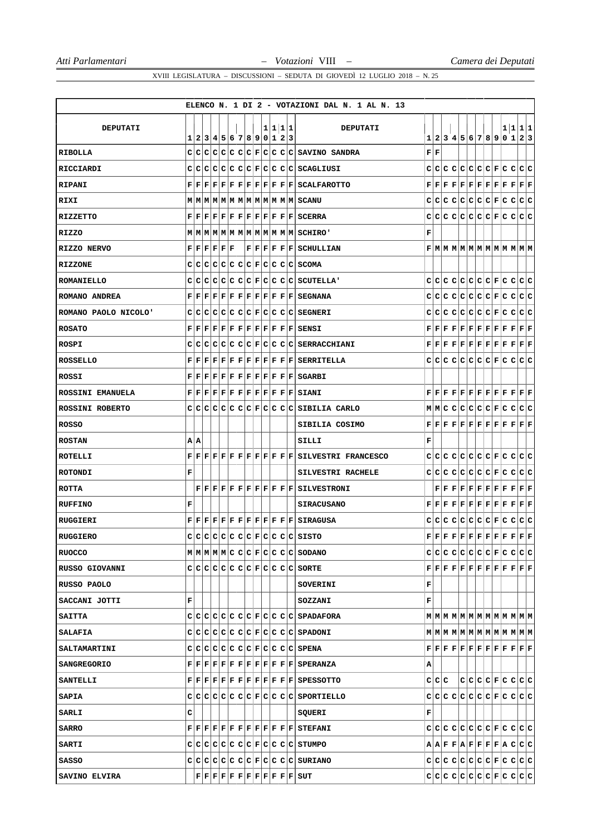|                       |                                                                                                |                         |  |  |  |         |  | ELENCO N. 1 DI 2 - VOTAZIONI DAL N. 1 AL N. 13                                                                                                                                                                                                                                                     |                           |     |       |  |  |  |  |                                                                                                                                                                                                                                                                                                                                                                                               |
|-----------------------|------------------------------------------------------------------------------------------------|-------------------------|--|--|--|---------|--|----------------------------------------------------------------------------------------------------------------------------------------------------------------------------------------------------------------------------------------------------------------------------------------------------|---------------------------|-----|-------|--|--|--|--|-----------------------------------------------------------------------------------------------------------------------------------------------------------------------------------------------------------------------------------------------------------------------------------------------------------------------------------------------------------------------------------------------|
|                       |                                                                                                |                         |  |  |  |         |  |                                                                                                                                                                                                                                                                                                    |                           |     |       |  |  |  |  |                                                                                                                                                                                                                                                                                                                                                                                               |
| <b>DEPUTATI</b>       | 1                                                                                              | 2 3 4 5 6 7 8 9 0 1 2 3 |  |  |  | 1 1 1 1 |  | <b>DEPUTATI</b>                                                                                                                                                                                                                                                                                    |                           |     |       |  |  |  |  | 1 1 1 1<br>1 2 3 4 5 6 7 8 9 0 1 2 3                                                                                                                                                                                                                                                                                                                                                          |
| RIBOLLA               |                                                                                                |                         |  |  |  |         |  | $c c c c c c c c c c c c s$ avino sandra                                                                                                                                                                                                                                                           | ${\bf F} \,   \, {\bf F}$ |     |       |  |  |  |  |                                                                                                                                                                                                                                                                                                                                                                                               |
| RICCIARDI             |                                                                                                |                         |  |  |  |         |  | $C C C C C C C F C C C C SCAGLIUST$                                                                                                                                                                                                                                                                |                           |     |       |  |  |  |  |                                                                                                                                                                                                                                                                                                                                                                                               |
| RIPANI                |                                                                                                |                         |  |  |  |         |  | F F F F F F F F F F F F F GALFAROTTO                                                                                                                                                                                                                                                               |                           |     |       |  |  |  |  | $\mathbf{F} \,   \, \mathbf{F} \,   \, \mathbf{F} \,   \, \mathbf{F} \,   \, \mathbf{F} \,   \, \mathbf{F} \,   \, \mathbf{F} \,   \, \mathbf{F} \,   \, \mathbf{F} \,   \, \mathbf{F} \,   \, \mathbf{F} \,   \, \mathbf{F} \,   \, \mathbf{F} \,   \, \mathbf{F} \,   \, \mathbf{F} \,   \, \mathbf{F} \,   \, \mathbf{F} \,   \, \mathbf{F} \,   \, \mathbf{F} \,   \, \mathbf{F} \,   \,$ |
| RIXI                  |                                                                                                |                         |  |  |  |         |  | MMMMMMMMMMMMMMMSCANU                                                                                                                                                                                                                                                                               |                           |     |       |  |  |  |  |                                                                                                                                                                                                                                                                                                                                                                                               |
| RIZZETTO              |                                                                                                |                         |  |  |  |         |  | $\mathbf{F} \,   \, \mathbf{F} \,   \, \mathbf{F} \,   \, \mathbf{F} \,   \, \mathbf{F} \,   \, \mathbf{F} \,   \, \mathbf{F} \,   \, \mathbf{F} \,   \, \mathbf{F} \,   \, \mathbf{F} \,   \, \mathbf{F} \,   \, \mathbf{S} \mathbf{C} \mathbf{ERRA}$                                             |                           |     |       |  |  |  |  |                                                                                                                                                                                                                                                                                                                                                                                               |
| RIZZO                 |                                                                                                |                         |  |  |  |         |  | MMMMMMMMMMMMMMMSCHIRO'                                                                                                                                                                                                                                                                             | F                         |     |       |  |  |  |  |                                                                                                                                                                                                                                                                                                                                                                                               |
| RIZZO NERVO           | ${\bf F} \,   \, {\bf F} \,   \, {\bf F} \,   \, {\bf F} \,   \, {\bf F} \,   \, {\bf F} \,  $ |                         |  |  |  |         |  | $ F F F F F $ $S$ CHULLIAN                                                                                                                                                                                                                                                                         |                           |     |       |  |  |  |  | F M M M M M M M M M M M M                                                                                                                                                                                                                                                                                                                                                                     |
| <b>RIZZONE</b>        |                                                                                                |                         |  |  |  |         |  | $C C C C C C C F C C C C SCOMA$                                                                                                                                                                                                                                                                    |                           |     |       |  |  |  |  |                                                                                                                                                                                                                                                                                                                                                                                               |
| ROMANIELLO            |                                                                                                |                         |  |  |  |         |  | C C C C C C C F C C C C SCUTELLA'                                                                                                                                                                                                                                                                  |                           |     |       |  |  |  |  |                                                                                                                                                                                                                                                                                                                                                                                               |
| ROMANO ANDREA         |                                                                                                |                         |  |  |  |         |  | $\mathbf{F} \,   \, \mathbf{F} \,   \, \mathbf{F} \,   \, \mathbf{F} \,   \, \mathbf{F} \,   \, \mathbf{F} \,   \, \mathbf{F} \,   \, \mathbf{F} \,   \, \mathbf{F} \,   \, \mathbf{F} \,   \, \mathbf{F} \,   \, \mathbf{S} \mathbf{E} \mathbf{GNANA}$                                            |                           |     |       |  |  |  |  |                                                                                                                                                                                                                                                                                                                                                                                               |
| ROMANO PAOLO NICOLO'  |                                                                                                |                         |  |  |  |         |  | CCCCCCCCCCCFCCCCCCSEGNERI                                                                                                                                                                                                                                                                          |                           |     |       |  |  |  |  |                                                                                                                                                                                                                                                                                                                                                                                               |
| <b>ROSATO</b>         |                                                                                                |                         |  |  |  |         |  | $\mathbf{F} \,   \, \mathbf{F} \,   \, \mathbf{F} \,   \, \mathbf{F} \,   \, \mathbf{F} \,   \, \mathbf{F} \,   \, \mathbf{F} \,   \, \mathbf{F} \,   \, \mathbf{F} \,   \, \mathbf{F} \,   \, \mathbf{F} \,   \, \mathbf{F} \,   \, \mathbf{S} \, \mathbf{E} \mathbf{N} \mathbf{S} \, \mathbf{I}$ |                           |     |       |  |  |  |  | $\mathbf{F} \,   \, \mathbf{F} \,   \, \mathbf{F} \,   \, \mathbf{F} \,   \, \mathbf{F} \,   \, \mathbf{F} \,   \, \mathbf{F} \,   \, \mathbf{F} \,   \, \mathbf{F} \,   \, \mathbf{F} \,   \, \mathbf{F} \,   \, \mathbf{F} \,   \, \mathbf{F} \,   \, \mathbf{F} \,   \, \mathbf{F} \,   \, \mathbf{F} \,   \, \mathbf{F} \,   \, \mathbf{F} \,   \, \mathbf{F} \,   \, \mathbf{F} \,   \,$ |
| ROSPI                 |                                                                                                |                         |  |  |  |         |  | $C C C C C C C F C C C C S\texttt{ERRACCHIANI}$                                                                                                                                                                                                                                                    |                           |     |       |  |  |  |  | $\mathbf{F} \,   \, \mathbf{F} \,   \, \mathbf{F} \,   \, \mathbf{F} \,   \, \mathbf{F} \,   \, \mathbf{F} \,   \, \mathbf{F} \,   \, \mathbf{F} \,   \, \mathbf{F} \,   \, \mathbf{F} \,   \, \mathbf{F} \,   \, \mathbf{F} \,$                                                                                                                                                              |
| <b>ROSSELLO</b>       |                                                                                                |                         |  |  |  |         |  | $\mathbf{F} \,   \, \mathbf{F} \,   \, \mathbf{F} \,   \, \mathbf{F} \,   \, \mathbf{F} \,   \, \mathbf{F} \,   \, \mathbf{F} \,   \, \mathbf{F} \,   \, \mathbf{F} \,   \, \mathbf{F} \,   \, \mathbf{F} \,   \, \mathbf{S} \, \text{ERRITELLA}$                                                  |                           |     |       |  |  |  |  | didididididi elel dididididi                                                                                                                                                                                                                                                                                                                                                                  |
| ROSSI                 |                                                                                                |                         |  |  |  |         |  | $\mathbf{F} \,   \, \mathbf{F} \,   \, \mathbf{F} \,   \, \mathbf{F} \,   \, \mathbf{F} \,   \, \mathbf{F} \,   \, \mathbf{F} \,   \, \mathbf{F} \,   \, \mathbf{F} \,   \, \mathbf{F} \,   \, \mathbf{F} \,   \, \mathbf{S} \mathsf{GARBI}$                                                       |                           |     |       |  |  |  |  |                                                                                                                                                                                                                                                                                                                                                                                               |
| ROSSINI EMANUELA      |                                                                                                |                         |  |  |  |         |  | $\mathbf{F} \,   \, \mathbf{F} \,   \, \mathbf{F} \,   \, \mathbf{F} \,   \, \mathbf{F} \,   \, \mathbf{F} \,   \, \mathbf{F} \,   \, \mathbf{F} \,   \, \mathbf{F} \,   \, \mathbf{F} \,   \, \mathbf{F} \,   \, \mathbf{S} \, \text{IANI}$                                                       |                           |     |       |  |  |  |  | $\mathbf{F} \,   \, \mathbf{F} \,   \, \mathbf{F} \,   \, \mathbf{F} \,   \, \mathbf{F} \,   \, \mathbf{F} \,   \, \mathbf{F} \,   \, \mathbf{F} \,   \, \mathbf{F} \,   \, \mathbf{F} \,   \, \mathbf{F} \,   \, \mathbf{F} \,$                                                                                                                                                              |
| ROSSINI ROBERTO       |                                                                                                |                         |  |  |  |         |  | CCCCCCCCCCFCCCCCSIBILIA CARLO                                                                                                                                                                                                                                                                      |                           |     |       |  |  |  |  | M M C C C C C C F C C C C                                                                                                                                                                                                                                                                                                                                                                     |
| ROSSO                 |                                                                                                |                         |  |  |  |         |  | SIBILIA COSIMO                                                                                                                                                                                                                                                                                     |                           |     |       |  |  |  |  | $\mathbf{F} \,   \, \mathbf{F} \,   \, \mathbf{F} \,   \, \mathbf{F} \,   \, \mathbf{F} \,   \, \mathbf{F} \,   \, \mathbf{F} \,   \, \mathbf{F} \,   \, \mathbf{F} \,   \, \mathbf{F} \,   \, \mathbf{F} \,   \, \mathbf{F}$                                                                                                                                                                 |
| <b>ROSTAN</b>         | A A                                                                                            |                         |  |  |  |         |  | SILLI                                                                                                                                                                                                                                                                                              | F                         |     |       |  |  |  |  |                                                                                                                                                                                                                                                                                                                                                                                               |
| ROTELLI               |                                                                                                |                         |  |  |  |         |  | $F[F F F F F F F F F F F F SIUVESTRI$ FRANCESCO                                                                                                                                                                                                                                                    |                           | C C |       |  |  |  |  |                                                                                                                                                                                                                                                                                                                                                                                               |
| <b>ROTONDI</b>        | г                                                                                              |                         |  |  |  |         |  | <b>SILVESTRI RACHELE</b>                                                                                                                                                                                                                                                                           |                           |     |       |  |  |  |  |                                                                                                                                                                                                                                                                                                                                                                                               |
| <b>ROTTA</b>          |                                                                                                |                         |  |  |  |         |  | F[F F F F F F F F F F F SILVESTRONI                                                                                                                                                                                                                                                                |                           |     |       |  |  |  |  | $\mathbf{F} \,   \, \mathbf{F} \,   \, \mathbf{F} \,   \, \mathbf{F} \,   \, \mathbf{F} \,   \, \mathbf{F} \,   \, \mathbf{F} \,   \, \mathbf{F} \,   \, \mathbf{F} \,   \, \mathbf{F} \,   \, \mathbf{F} \,   \, \mathbf{F}$                                                                                                                                                                 |
| <b>RUFFINO</b>        | F                                                                                              |                         |  |  |  |         |  | <b>SIRACUSANO</b>                                                                                                                                                                                                                                                                                  |                           |     |       |  |  |  |  | $\mathbf{F} \,   \, \mathbf{F} \,   \, \mathbf{F} \,   \, \mathbf{F} \,   \, \mathbf{F} \,   \, \mathbf{F} \,   \, \mathbf{F} \,   \, \mathbf{F} \,   \, \mathbf{F} \,   \, \mathbf{F} \,   \, \mathbf{F} \,   \, \mathbf{F} \,   \, \mathbf{F} \,   \, \mathbf{F} \,   \, \mathbf{F} \,   \, \mathbf{F} \,   \, \mathbf{F} \,   \, \mathbf{F} \,   \, \mathbf{F} \,   \, \mathbf{F} \,   \,$ |
| RUGGIERI              |                                                                                                |                         |  |  |  |         |  | $\mathbf{F} \,   \, \mathbf{F} \,   \, \mathbf{F} \,   \, \mathbf{F} \,   \, \mathbf{F} \,   \, \mathbf{F} \,   \, \mathbf{F} \,   \, \mathbf{F} \,   \, \mathbf{F} \,   \, \mathbf{F} \,   \, \mathbf{F} \,   \, \mathbf{S}$ IRAGUSA                                                              |                           |     |       |  |  |  |  |                                                                                                                                                                                                                                                                                                                                                                                               |
| <b>RUGGIERO</b>       | C.                                                                                             |                         |  |  |  |         |  | $\big c\big c\big c\big c\big c\big c\big c\big F\big c\big c\big c\big c\big s$ isto                                                                                                                                                                                                              |                           |     |       |  |  |  |  | ${\bf F}\, \big  \, {\bf F}\, \big  \, {\bf F}\, \big  \, {\bf F}\, \big  \, {\bf F}\, \big  \, {\bf F}\, \big  \, {\bf F}\, \big  \, {\bf F}\, \big  \, {\bf F}\, \big  \, {\bf F}\, \big  \, {\bf F}\, \big  \, {\bf F}\, \big  \, {\bf F}\, \big $                                                                                                                                         |
| <b>RUOCCO</b>         |                                                                                                |                         |  |  |  |         |  | $M$ $M$ $M$ $M$ $C$ $C$ $C$ $F$ $C$ $C$ $C$ $C$ $S$ $O$ $DANO$                                                                                                                                                                                                                                     |                           |     |       |  |  |  |  |                                                                                                                                                                                                                                                                                                                                                                                               |
| <b>RUSSO GIOVANNI</b> |                                                                                                |                         |  |  |  |         |  | C C C C C C C F C C C C SCRTE                                                                                                                                                                                                                                                                      |                           |     |       |  |  |  |  | $\mathbf{F} \,   \, \mathbf{F} \,   \, \mathbf{F} \,   \, \mathbf{F} \,   \, \mathbf{F} \,   \, \mathbf{F} \,   \, \mathbf{F} \,   \, \mathbf{F} \,   \, \mathbf{F} \,   \, \mathbf{F} \,   \, \mathbf{F} \,   \, \mathbf{F} \,   \, \mathbf{F} \,   \, \mathbf{F} \,   \, \mathbf{F} \,   \, \mathbf{F} \,   \, \mathbf{F} \,   \, \mathbf{F} \,   \, \mathbf{F} \,   \, \mathbf{F} \,   \,$ |
| RUSSO PAOLO           |                                                                                                |                         |  |  |  |         |  | <b>SOVERINI</b>                                                                                                                                                                                                                                                                                    | F                         |     |       |  |  |  |  |                                                                                                                                                                                                                                                                                                                                                                                               |
| SACCANI JOTTI         | F                                                                                              |                         |  |  |  |         |  | SOZZANI                                                                                                                                                                                                                                                                                            | F                         |     |       |  |  |  |  |                                                                                                                                                                                                                                                                                                                                                                                               |
| <b>SAITTA</b>         |                                                                                                |                         |  |  |  |         |  | $C C C C C C C F C C C C S{\tt PADAFORA}$                                                                                                                                                                                                                                                          |                           |     |       |  |  |  |  | $M$   $M$   $M$   $M$   $M$   $M$   $M$   $M$   $M$   $M$   $M$   $M$   $M$                                                                                                                                                                                                                                                                                                                   |
| <b>SALAFIA</b>        |                                                                                                |                         |  |  |  |         |  | $C C C C C C C F C C C C S$ SPADONI                                                                                                                                                                                                                                                                |                           |     |       |  |  |  |  | $\texttt{M} \texttt{M} \texttt{M} \texttt{M} \texttt{M} \texttt{M} \texttt{M} \texttt{M} \texttt{M} \texttt{M} \texttt{M} \texttt{M} \texttt{M}$                                                                                                                                                                                                                                              |
| <b>SALTAMARTINI</b>   |                                                                                                |                         |  |  |  |         |  | $C C C C C C C F C C C C SPENA$                                                                                                                                                                                                                                                                    |                           |     |       |  |  |  |  | $\mathbf{F} \,   \, \mathbf{F} \,   \, \mathbf{F} \,   \, \mathbf{F} \,   \, \mathbf{F} \,   \, \mathbf{F} \,   \, \mathbf{F} \,   \, \mathbf{F} \,   \, \mathbf{F} \,   \, \mathbf{F} \,   \, \mathbf{F} \,   \, \mathbf{F} \,   \, \mathbf{F} \,   \, \mathbf{F} \,   \, \mathbf{F} \,   \, \mathbf{F} \,   \, \mathbf{F} \,   \, \mathbf{F} \,   \, \mathbf{F} \,   \, \mathbf{F} \,   \,$ |
| <b>SANGREGORIO</b>    |                                                                                                |                         |  |  |  |         |  | $\mathbf{F} \,   \, \mathbf{F} \,   \, \mathbf{F} \,   \, \mathbf{F} \,   \, \mathbf{F} \,   \, \mathbf{F} \,   \, \mathbf{F} \,   \, \mathbf{F} \,   \, \mathbf{F} \,   \, \mathbf{F} \,   \, \mathbf{F} \,   \, \mathbf{S}$ PERANZA                                                              | А                         |     |       |  |  |  |  |                                                                                                                                                                                                                                                                                                                                                                                               |
| <b>SANTELLI</b>       |                                                                                                |                         |  |  |  |         |  | $\mathbf{F} \, \, \mathbf{F} \, \, \mathbf{F} \, \, \mathbf{F} \, \, \mathbf{F} \, \, \mathbf{F} \, \, \mathbf{F} \, \, \mathbf{F} \, \, \mathbf{F} \, \, \mathbf{F} \, \, \mathbf{F} \, \, \mathbf{SPESSOTTO}$                                                                                    |                           |     | C C C |  |  |  |  | c c c c F c c c c                                                                                                                                                                                                                                                                                                                                                                             |
| <b>SAPIA</b>          |                                                                                                |                         |  |  |  |         |  | C C C C C C C F C C C C SPORTIELLO                                                                                                                                                                                                                                                                 |                           |     |       |  |  |  |  |                                                                                                                                                                                                                                                                                                                                                                                               |
| <b>SARLI</b>          | с                                                                                              |                         |  |  |  |         |  | SQUERI                                                                                                                                                                                                                                                                                             | F                         |     |       |  |  |  |  |                                                                                                                                                                                                                                                                                                                                                                                               |
| <b>SARRO</b>          |                                                                                                |                         |  |  |  |         |  | $\mathbf{F} \,   \, \mathbf{F} \,   \, \mathbf{F} \,   \, \mathbf{F} \,   \, \mathbf{F} \,   \, \mathbf{F} \,   \, \mathbf{F} \,   \, \mathbf{F} \,   \, \mathbf{F} \,   \, \mathbf{F} \,   \, \mathbf{F} \,   \, \mathbf{S}$ TEFANI                                                               |                           |     |       |  |  |  |  |                                                                                                                                                                                                                                                                                                                                                                                               |
| <b>SARTI</b>          |                                                                                                |                         |  |  |  |         |  | C C C C C C C F C C C C STUMPO                                                                                                                                                                                                                                                                     |                           |     |       |  |  |  |  | $A A F F A F F F F A C C C $                                                                                                                                                                                                                                                                                                                                                                  |
| SASSO                 |                                                                                                |                         |  |  |  |         |  | $C C C C C C C F C C C C S\text{URIANO}$                                                                                                                                                                                                                                                           |                           |     |       |  |  |  |  |                                                                                                                                                                                                                                                                                                                                                                                               |
| SAVINO ELVIRA         |                                                                                                |                         |  |  |  |         |  | $\mathbf{F} \,   \, \mathbf{F} \,   \, \mathbf{F} \,   \, \mathbf{F} \,   \, \mathbf{F} \,   \, \mathbf{F} \,   \, \mathbf{F} \,   \, \mathbf{F} \,   \, \mathbf{F} \,   \, \mathbf{F} \,   \, \mathbf{F} \,   \, \mathbf{S} \, \mathbf{U} \mathbf{T}$                                             |                           |     |       |  |  |  |  |                                                                                                                                                                                                                                                                                                                                                                                               |